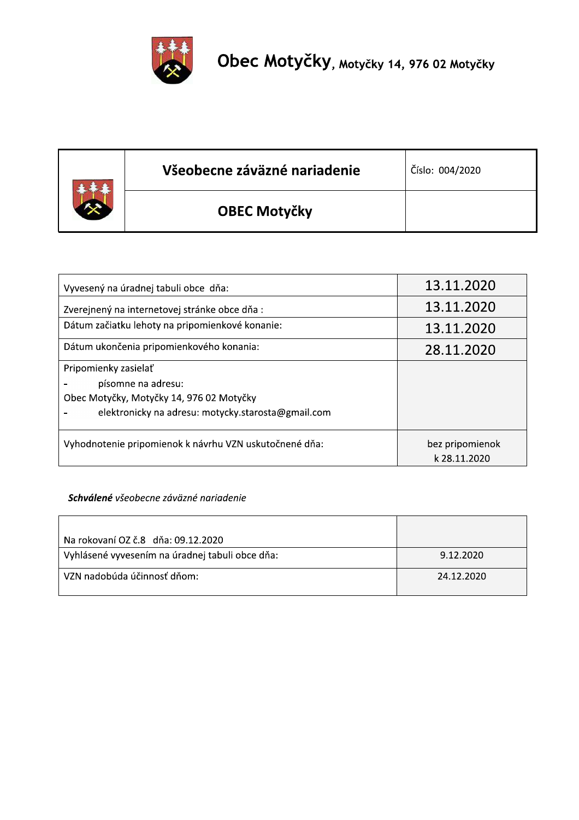

| Všeobecne záväzné nariadenie | Číslo: 004/2020 |
|------------------------------|-----------------|
| <b>OBEC Motyčky</b>          |                 |

| Vyvesený na úradnej tabuli obce dňa:                   | 13.11.2020      |
|--------------------------------------------------------|-----------------|
| Zverejnený na internetovej stránke obce dňa :          | 13.11.2020      |
| Dátum začiatku lehoty na pripomienkové konanie:        | 13.11.2020      |
| Dátum ukončenia pripomienkového konania:               | 28.11.2020      |
| Pripomienky zasielať                                   |                 |
| písomne na adresu:                                     |                 |
| Obec Motyčky, Motyčky 14, 976 02 Motyčky               |                 |
| elektronicky na adresu: motycky.starosta@gmail.com     |                 |
| Vyhodnotenie pripomienok k návrhu VZN uskutočnené dňa: | bez pripomienok |
|                                                        | k 28.11.2020    |

## Schválené všeobecne záväzné nariadenie

| Na rokovaní OZ č.8 dňa: 09.12.2020              |            |
|-------------------------------------------------|------------|
| Vyhlásené vyvesením na úradnej tabuli obce dňa: | 9.12.2020  |
| . VZN nadobúda účinnosť dňom:                   | 24.12.2020 |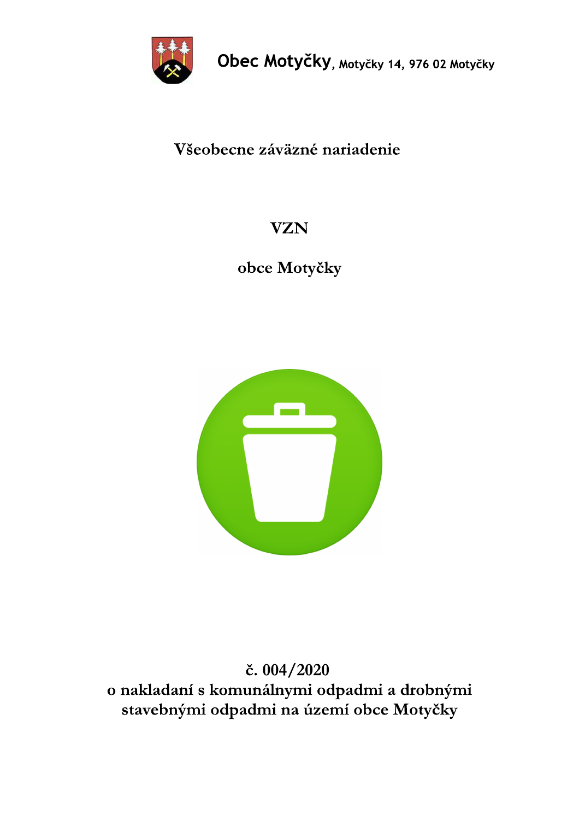

# Všeobecne záväzné nariadenie

# **VZN**

obce Motyčky



# č. 004/2020 o nakladaní s komunálnymi odpadmi a drobnými stavebnými odpadmi na území obce Motyčky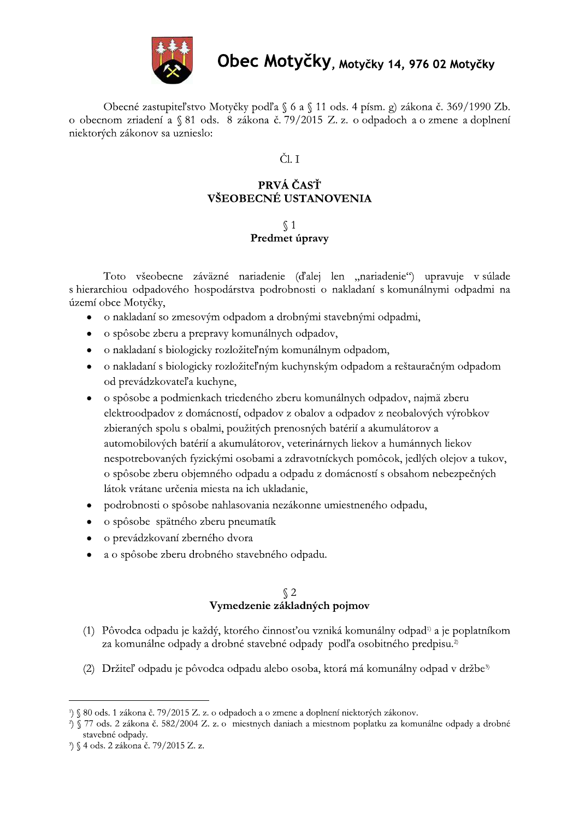

Obecné zastupiteľstvo Motyčky podľa § 6 a § 11 ods. 4 písm. g) zákona č. 369/1990 Zb. o obecnom zriadení a § 81 ods. 8 zákona č. 79/2015 Z. z. o odpadoch a o zmene a doplnení niektorých zákonov sa uznieslo:

## ČL T

## PRVÁ ČASŤ VŠEOBECNÉ USTANOVENIA

## $\sqrt{1}$ Predmet úpravy

Toto všeobecne záväzné nariadenie (ďalej len "nariadenie") upravuje v súlade s hierarchiou odpadového hospodárstva podrobnosti o nakladaní s komunálnymi odpadmi na území obce Motyčky,

- · o nakladaní so zmesovým odpadom a drobnými stavebnými odpadmi,
- o spôsobe zberu a prepravy komunálnych odpadov,  $\bullet$
- o nakladaní s biologicky rozložiteľným komunálnym odpadom,  $\bullet$
- o nakladaní s biologicky rozložiteľným kuchynským odpadom a reštauračným odpadom od prevádzkovateľ a kuchyne,
- · o spôsobe a podmienkach triedeného zberu komunálnych odpadov, najmä zberu elektroodpadov z domácností, odpadov z obalov a odpadov z neobalových výrobkov zbieraných spolu s obalmi, použitých prenosných batérií a akumulátorov a automobilových batérií a akumulátorov, veterinárnych liekov a humánnych liekov nespotrebovaných fyzickými osobami a zdravotníckych pomôcok, jedlých olejov a tukov, o spôsobe zberu objemného odpadu a odpadu z domácností s obsahom nebezpečných látok vrátane určenia miesta na ich ukladanie,
- podrobnosti o spôsobe nahlasovania nezákonne umiestneného odpadu,
- o spôsobe spätného zberu pneumatík  $\bullet$
- o prevádzkovaní zberného dvora
- a o spôsobe zberu drobného stavebného odpadu.

# $\sqrt{\frac{2}{3}}$ Vymedzenie základných pojmov

- (1) Pôvodca odpadu je každý, ktorého činnosťou vzniká komunálny odpad<sup>n</sup>a je poplatníkom za komunálne odpady a drobné stavebné odpady podľa osobitného predpisu.<sup>2)</sup>
- (2) Držiteľ odpadu je pôvodca odpadu alebo osoba, ktorá má komunálny odpad v držbe<sup>3)</sup>

<sup>&</sup>lt;sup>1</sup>) § 80 ods. 1 zákona č. 79/2015 Z. z. o odpadoch a o zmene a doplnení niektorých zákonov.

<sup>3) § 77</sup> ods. 2 zákona č. 582/2004 Z. z. o miestnych daniach a miestnom poplatku za komunálne odpady a drobné stavebné odpady.

<sup>&</sup>lt;sup>3</sup>) § 4 ods. 2 zákona č. 79/2015 Z. z.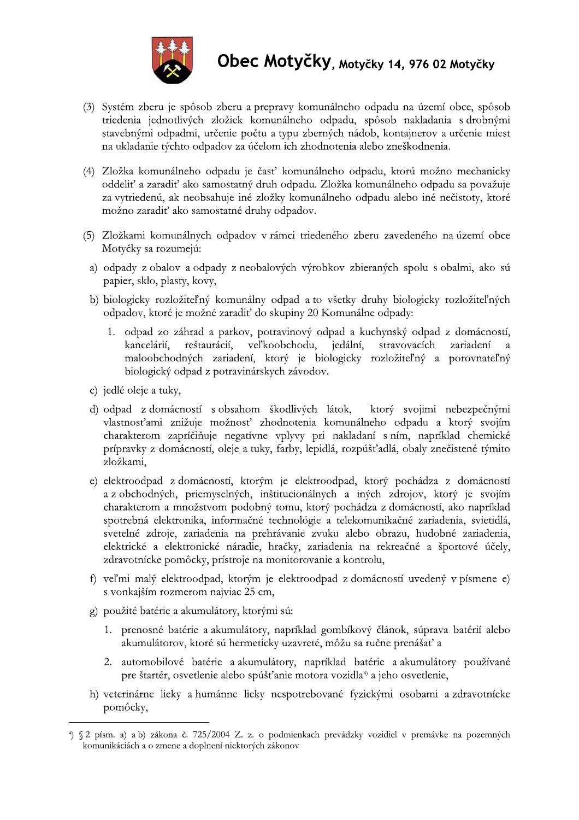

- (3) Systém zberu je spôsob zberu a prepravy komunálneho odpadu na území obce, spôsob triedenia jednotlivých zložiek komunálneho odpadu, spôsob nakladania s drobnými stavebnými odpadmi, určenie počtu a typu zberných nádob, kontajnerov a určenie miest na ukladanie týchto odpadov za účelom ich zhodnotenia alebo zneškodnenia.
- (4) Zložka komunálneho odpadu je časť komunálneho odpadu, ktorú možno mechanicky oddeliť a zaradiť ako samostatný druh odpadu. Zložka komunálneho odpadu sa považuje za vytriedenú, ak neobsahuje iné zložky komunálneho odpadu alebo iné nečistoty, ktoré možno zaradiť ako samostatné druhy odpadov.
- (5) Zložkami komunálnych odpadov v rámci triedeného zberu zavedeného na území obce Motyčky sa rozumejú:
- a) odpady z obalov a odpady z neobalových výrobkov zbieraných spolu s obalmi, ako sú papier, sklo, plasty, kovy,
- b) biologicky rozložiteľný komunálny odpad a to všetky druhy biologicky rozložiteľných odpadov, ktoré je možné zaradiť do skupiny 20 Komunálne odpady:
	- 1. odpad zo záhrad a parkov, potravinový odpad a kuchynský odpad z domácností, kancelárií. reštaurácií, veľkoobchodu, jedální, stravovacích zariadení  $\overline{a}$ maloobchodných zariadení, ktorý je biologicky rozložiteľný a porovnateľný biologický odpad z potravinárskych závodov.
- c) jedlé oleje a tuky,
- d) odpad z domácností s obsahom škodlivých látok, ktorý svojimi nebezpečnými vlastnosťami znižuje možnosť zhodnotenia komunálneho odpadu a ktorý svojím charakterom zapríčiňuje negatívne vplyvy pri nakladaní s ním, napríklad chemické prípravky z domácností, oleje a tuky, farby, lepidlá, rozpúšťadlá, obaly znečistené týmito zložkami,
- e) elektroodpad z domácností, ktorým je elektroodpad, ktorý pochádza z domácností a z obchodných, priemyselných, inštitucionálnych a iných zdrojov, ktorý je svojím charakterom a množstvom podobný tomu, ktorý pochádza z domácností, ako napríklad spotrebná elektronika, informačné technológie a telekomunikačné zariadenia, svietidlá, svetelné zdroje, zariadenia na prehrávanie zvuku alebo obrazu, hudobné zariadenia, elektrické a elektronické náradie, hračky, zariadenia na rekreačné a športové účely, zdravotnícke pomôcky, prístroje na monitorovanie a kontrolu,
- f) veľmi malý elektroodpad, ktorým je elektroodpad z domácností uvedený v písmene e) s vonkajším rozmerom najviac 25 cm,
- g) použité batérie a akumulátory, ktorými sú:
	- 1. prenosné batérie a akumulátory, napríklad gombíkový článok, súprava batérií alebo akumulátorov, ktoré sú hermeticky uzavreté, môžu sa ručne prenášať a
	- 2. automobilové batérie a akumulátory, napríklad batérie a akumulátory používané pre štartér, osvetlenie alebo spúšťanie motora vozidla<sup>4</sup> a jeho osvetlenie,
- h) veterinárne lieky a humánne lieky nespotrebované fyzickými osobami a zdravotnícke pomôcky,

<sup>1) § 2</sup> písm. a) a b) zákona č. 725/2004 Z. z. o podmienkach prevádzky vozidiel v premávke na pozemných komunikáciách a o zmene a doplnení niektorých zákonov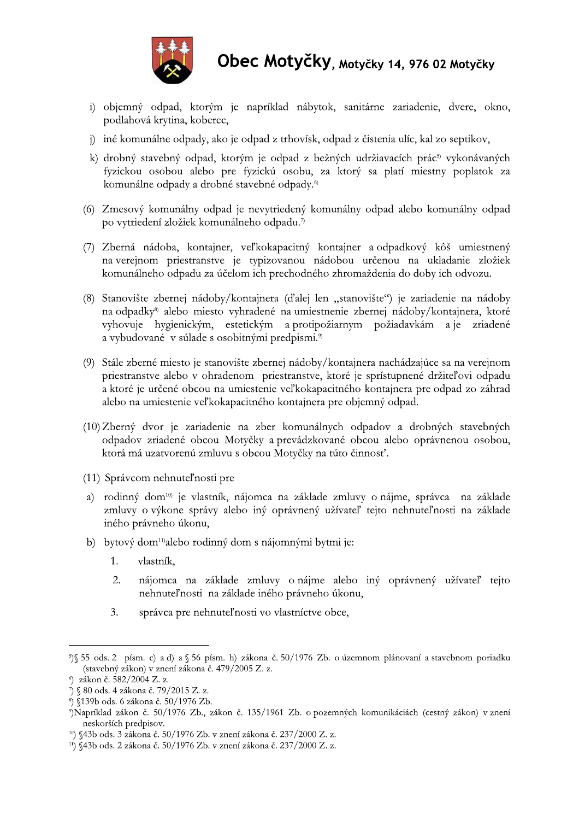

- i) objemný odpad, ktorým je napríklad nábytok, sanitárne zariadenie, dvere, okno, podlahová krytina, koberec,
- j) iné komunálne odpady, ako je odpad z trhovísk, odpad z čistenia ulíc, kal zo septikov,
- k) drobný stavebný odpad, ktorým je odpad z bežných udržiavacích prác<sup>5)</sup> vykonávaných fyzickou osobou alebo pre fyzickú osobu, za ktorý sa platí miestny poplatok za komunálne odpady a drobné stavebné odpady.<sup>6)</sup>
- (6) Zmesový komunálny odpad je nevytriedený komunálny odpad alebo komunálny odpad po vytriedení zložiek komunálneho odpadu.<sup>7</sup>
- (7) Zberná nádoba, kontajner, veľkokapacitný kontajner a odpadkový kôš umiestnený na verejnom priestranstve je typizovanou nádobou určenou na ukladanie zložiek komunálneho odpadu za účelom ich prechodného zhromaždenia do doby ich odvozu.
- (8) Stanovište zbernej nádoby/kontajnera (ďalej len "stanovište") je zariadenie na nádoby na odpadky<sup>8</sup> alebo miesto vyhradené na umiestnenie zbernej nádoby/kontajnera, ktoré vyhovuje hygienickým, estetickým a protipožiarnym požiadavkám a je zriadené a vybudované v súlade s osobitnými predpismi.<sup>9</sup>
- (9) Stále zberné miesto je stanovište zbernej nádoby/kontajnera nachádzajúce sa na verejnom priestranstve alebo v ohradenom priestranstve, ktoré je sprístupnené držiteľovi odpadu a ktoré je určené obcou na umiestenie veľkokapacitného kontajnera pre odpad zo záhrad alebo na umiestenie veľkokapacitného kontajnera pre objemný odpad.
- (10) Zberný dvor je zariadenie na zber komunálnych odpadov a drobných stavebných odpadov zriadené obcou Motyčky a prevádzkované obcou alebo oprávnenou osobou, ktorá má uzatvorenú zmluvu s obcou Motyčky na túto činnosť.
- (11) Správcom nehnuteľnosti pre
- a) rodinný dom<sup>10</sup> je vlastník, nájomca na základe zmluvy o nájme, správca na základe zmluvy o výkone správy alebo iný oprávnený užívateľ tejto nehnuteľnosti na základe iného právneho úkonu,
- b) bytový dom<sup>11</sup> alebo rodinný dom s nájomnými bytmi je:
	- $1<sub>1</sub>$ vlastník.
	- $2.$ nájomca na základe zmluvy o nájme alebo iný oprávnený užívateľ tejto nehnuteľnosti na základe iného právneho úkonu,
	- 3. správca pre nehnuteľnosti vo vlastníctve obce,

<sup>55</sup> ods. 2 písm. c) a d) a § 56 písm. h) zákona č. 50/1976 Zb. o územnom plánovaní a stavebnom poriadku (stavebný zákon) v znení zákona č. 479/2005 Z. z.

<sup>&</sup>lt;sup>6</sup>) zákon č. 582/2004 Z. z.

<sup>7) § 80</sup> ods. 4 zákona č. 79/2015 Z. z.

<sup>8) §139</sup>b ods. 6 zákona č. 50/1976 Zb.

<sup>&</sup>quot;)Napríklad zákon č. 50/1976 Zb., zákon č. 135/1961 Zb. o pozemných komunikáciách (cestný zákon) v znení neskorších predpisov.

<sup>&</sup>lt;sup>10</sup>) §43b ods. 3 zákona č. 50/1976 Zb. v znení zákona č. 237/2000 Z. z.

<sup>&</sup>lt;sup>11</sup>) §43b ods. 2 zákona č. 50/1976 Zb. v znení zákona č. 237/2000 Z. z.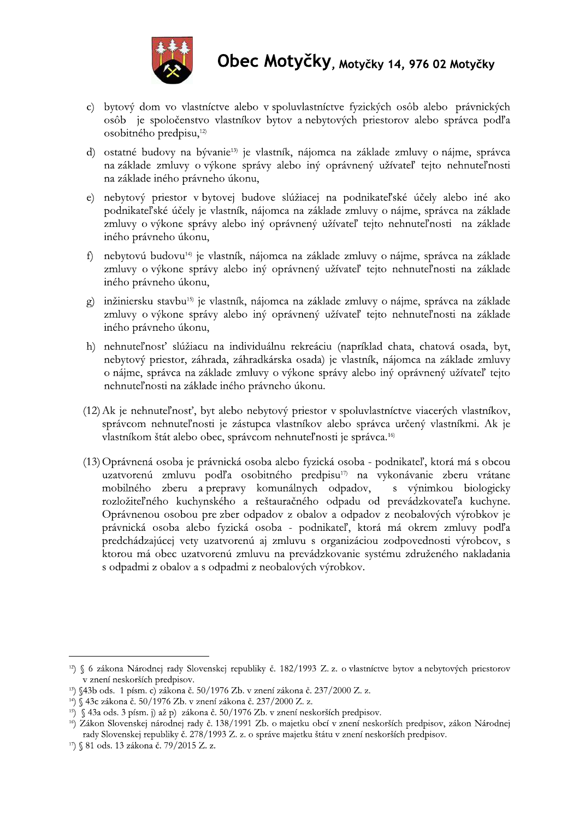

- c) bytový dom vo vlastníctve alebo v spoluvlastníctve fyzických osôb alebo právnických osôb je spoločenstvo vlastníkov bytov a nebytových priestorov alebo správca podľa osobitného predpisu,<sup>12)</sup>
- d) ostatné budovy na bývanie<sup>13</sup> je vlastník, nájomca na základe zmluvy o nájme, správca na základe zmluvy o výkone správy alebo iný oprávnený užívateľ tejto nehnuteľnosti na základe iného právneho úkonu,
- e) nebytový priestor v bytovej budove slúžiacej na podnikateľské účely alebo iné ako podnikateľské účely je vlastník, nájomca na základe zmluvy o nájme, správca na základe zmluvy o výkone správy alebo iný oprávnený užívateľ tejto nehnuteľnosti na základe iného právneho úkonu,
- f) nebytovú budovu<sup>14</sup> je vlastník, nájomca na základe zmluvy o nájme, správca na základe zmluvy o výkone správy alebo iný oprávnený užívateľ tejto nehnuteľnosti na základe iného právneho úkonu,
- g) inžiniersku stavbu<sup>15</sup> je vlastník, nájomca na základe zmluvy o nájme, správca na základe zmluvy o výkone správy alebo iný oprávnený užívateľ tejto nehnuteľnosti na základe iného právneho úkonu,
- h) nehnuteľnosť slúžiacu na individuálnu rekreáciu (napríklad chata, chatová osada, byt, nebytový priestor, záhrada, záhradkárska osada) je vlastník, nájomca na základe zmluvy o nájme, správca na základe zmluvy o výkone správy alebo iný oprávnený užívateľ tejto nehnuteľnosti na základe iného právneho úkonu.
- (12) Ak je nehnuteľnosť, byt alebo nebytový priestor v spoluvlastníctve viacerých vlastníkov, správcom nehnuteľnosti je zástupca vlastníkov alebo správca určený vlastníkmi. Ak je vlastníkom štát alebo obec, správcom nehnuteľnosti je správca.<sup>16)</sup>
- (13) Oprávnená osoba je právnická osoba alebo fyzická osoba podnikateľ, ktorá má s obcou uzatvorenú zmluvu podľa osobitného predpisu<sup>17)</sup> na vykonávanie zberu vrátane mobilného zberu a prepravy komunálnych odpadov, s výnimkou biologicky rozložiteľného kuchynského a reštauračného odpadu od prevádzkovateľa kuchyne. Oprávnenou osobou pre zber odpadov z obalov a odpadov z neobalových výrobkov je právnická osoba alebo fyzická osoba - podnikateľ, ktorá má okrem zmluvy podľa predchádzajúcej vety uzatvorenú aj zmluvu s organizáciou zodpovednosti výrobcov, s ktorou má obec uzatvorenú zmluvu na prevádzkovanie systému združeného nakladania s odpadmi z obalov a s odpadmi z neobalových výrobkov.

<sup>&</sup>lt;sup>12</sup>) § 6 zákona Národnej rady Slovenskej republiky č. 182/1993 Z. z. o vlastníctve bytov a nebytových priestorov v znení neskorších predpisov.

<sup>&</sup>lt;sup>13</sup>) §43b ods. 1 písm. c) zákona č. 50/1976 Zb. v znení zákona č. 237/2000 Z. z.

<sup>&</sup>lt;sup>14</sup>) § 43c zákona č. 50/1976 Zb. v znení zákona č. 237/2000 Z. z.

<sup>&</sup>lt;sup>15</sup>) § 43a ods. 3 písm. j) až p) zákona č. 50/1976 Zb. v znení neskorších predpisov.

<sup>&</sup>lt;sup>16</sup>) Zákon Slovenskej národnej rady č. 138/1991 Zb. o majetku obcí v znení neskorších predpisov, zákon Národnej rady Slovenskej republiky č. 278/1993 Z. z. o správe majetku štátu v znení neskorších predpisov.

<sup>&</sup>lt;sup>17</sup>) § 81 ods. 13 zákona č. 79/2015 Z. z.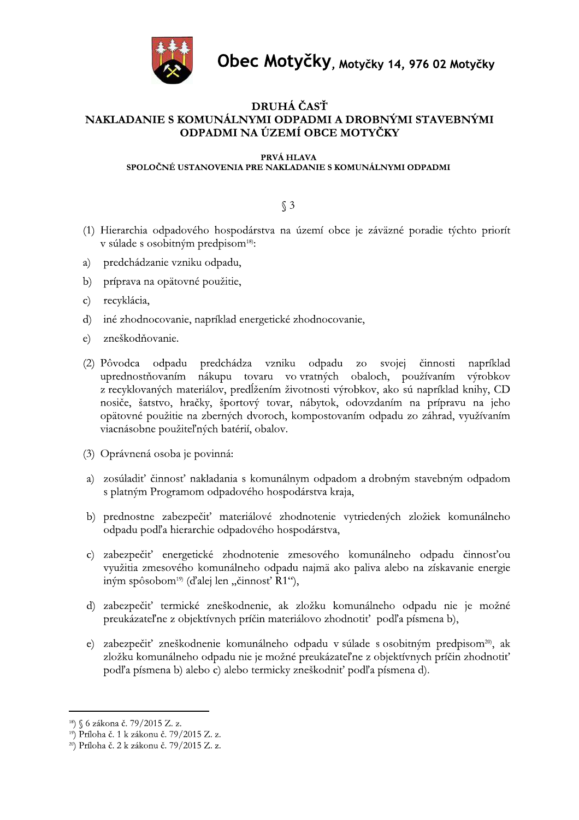

## DRUHÁ ČASŤ NAKLADANIE S KOMUNÁLNYMI ODPADMI A DROBNÝMI STAVEBNÝMI ODPADMI NA ÚZEMÍ OBCE MOTYČKY

#### PRVÁ HLAVA

#### SPOLOČNÉ USTANOVENIA PRE NAKLADANIE S KOMUNÁLNYMI ODPADMI

 $\S$  3

- (1) Hierarchia odpadového hospodárstva na území obce je záväzné poradie týchto priorít v súlade s osobitným predpisom<sup>18)</sup>:
- predchádzanie vzniku odpadu, a)
- $b)$ príprava na opätovné použitie,
- $\mathbf{c}$ ) recyklácia,
- d) iné zhodnocovanie, napríklad energetické zhodnocovanie,
- e) zneškodňovanie.
- (2) Pôvodca odpadu predchádza vzniku odpadu zo svojej činnosti napríklad uprednostňovaním nákupu tovaru vo vratných obaloch, používaním výrobkov z recyklovaných materiálov, predĺžením životnosti výrobkov, ako sú napríklad knihy, CD nosiče, šatstvo, hračky, športový tovar, nábytok, odovzdaním na prípravu na jeho opätovné použitie na zberných dvoroch, kompostovaním odpadu zo záhrad, využívaním viacnásobne použiteľných batérií, obalov.
- (3) Oprávnená osoba je povinná:
- a) zosúladiť činnosť nakladania s komunálnym odpadom a drobným stavebným odpadom s platným Programom odpadového hospodárstva kraja,
- b) prednostne zabezpečiť materiálové zhodnotenie vytriedených zložiek komunálneho odpadu podľa hierarchie odpadového hospodárstva,
- c) zabezpečiť energetické zhodnotenie zmesového komunálneho odpadu činnosťou využitia zmesového komunálneho odpadu najmä ako paliva alebo na získavanie energie iným spôsobom<sup>19)</sup> (ďalej len "činnosť R1"),
- d) zabezpečiť termické zneškodnenie, ak zložku komunálneho odpadu nie je možné preukázateľne z objektívnych príčin materiálovo zhodnotiť podľa písmena b),
- e) zabezpečiť zneškodnenie komunálneho odpadu v súlade s osobitným predpisom<sup>20</sup>, ak zložku komunálneho odpadu nie je možné preukázateľne z objektívnych príčin zhodnotiť podľa písmena b) alebo c) alebo termicky zneškodniť podľa písmena d).

<sup>&</sup>lt;sup>18</sup>) § 6 zákona č. 79/2015 Z. z.

<sup>&</sup>lt;sup>19</sup>) Príloha č. 1 k zákonu č. 79/2015 Z. z.

<sup>&</sup>lt;sup>20</sup>) Príloha č. 2 k zákonu č. 79/2015 Z. z.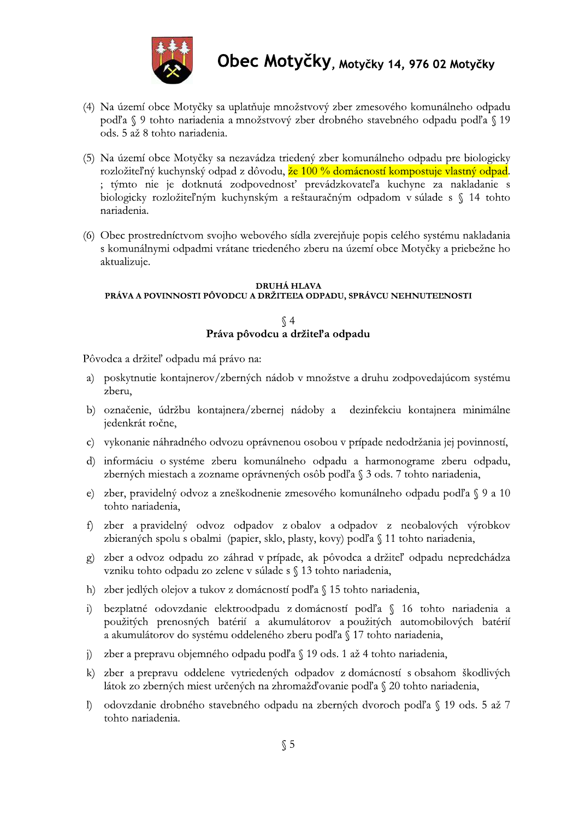

- (4) Na území obce Motyčky sa uplatňuje množstvový zber zmesového komunálneho odpadu podľa § 9 tohto nariadenia a množstvový zber drobného stavebného odpadu podľa § 19 ods. 5 až 8 tohto nariadenia.
- (5) Na území obce Motyčky sa nezavádza triedený zber komunálneho odpadu pre biologicky rozložiteľný kuchynský odpad z dôvodu, že 100 % domácností kompostuje vlastný odpad. ; týmto nie je dotknutá zodpovednosť prevádzkovateľa kuchyne za nakladanie s biologicky rozložiteľným kuchynským a reštauračným odpadom v súlade s § 14 tohto nariadenia.
- (6) Obec prostredníctvom svojho webového sídla zverejňuje popis celého systému nakladania s komunálnymi odpadmi vrátane triedeného zberu na území obce Motyčky a priebežne ho aktualizuje.

#### **DRUHÁ HLAVA** PRÁVA A POVINNOSTI PÔVODCU A DRŽITEĽA ODPADU, SPRÁVCU NEHNUTEĽNOSTI

 $\sqrt{4}$ Práva pôvodcu a držiteľ a odpadu

Pôvodca a držiteľ odpadu má právo na:

- a) poskytnutie kontajnerov/zberných nádob v množstve a druhu zodpovedajúcom systému zberu.
- b) označenie, údržbu kontajnera/zbernej nádoby a dezinfekciu kontajnera minimálne jedenkrát ročne,
- c) vykonanie náhradného odvozu oprávnenou osobou v prípade nedodržania jej povinností,
- d) informáciu o systéme zberu komunálneho odpadu a harmonograme zberu odpadu, zberných miestach a zozname oprávnených osôb podľa § 3 ods. 7 tohto nariadenia,
- e) zber, pravidelný odvoz a zneškodnenie zmesového komunálneho odpadu podľa § 9 a 10 tohto nariadenia,
- f) zber a pravidelný odvoz odpadov z obalov a odpadov z neobalových výrobkov zbieraných spolu s obalmi (papier, sklo, plasty, kovy) podľa § 11 tohto nariadenia,
- g) zber a odvoz odpadu zo záhrad v prípade, ak pôvodca a držiteľ odpadu nepredchádza vzniku tohto odpadu zo zelene v súlade s § 13 tohto nariadenia,
- h) zber jedlých olejov a tukov z domácností podľa § 15 tohto nariadenia,
- i) bezplatné odovzdanie elektroodpadu z domácností podľa § 16 tohto nariadenia a použitých prenosných batérií a akumulátorov a použitých automobilových batérií a akumulátorov do systému oddeleného zberu podľa § 17 tohto nariadenia,
- j) zber a prepravu objemného odpadu podľa § 19 ods. 1 až 4 tohto nariadenia,
- k) zber a prepravu oddelene vytriedených odpadov z domácností s obsahom škodlivých látok zo zberných miest určených na zhromažďovanie podľa § 20 tohto nariadenia,
- I) odovzdanie drobného stavebného odpadu na zberných dvoroch podľa § 19 ods. 5 až 7 tohto nariadenia.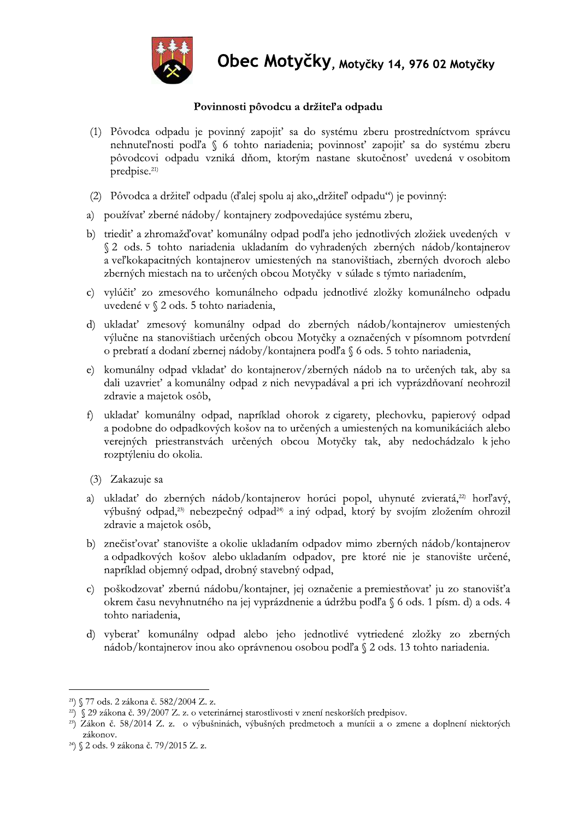

- **Obec Motyčky, motyčky 14, 976 02 Motyčky<br>
Povinnosti pôvodcu a držiteľa odpadu<br>
(1) Pôvodca odpadu je povinný zapojiť sa do systému zberu prostredníctvom správcu<br>
nehnuteľnosti podľa § 6 tohto nariadenia; povinnosť zapoji** 
	-
	-
	- a veľkokapacitných kontajnerov umiestených na stanovištiach, zberných dvoroch alebo zberných miestach na to určených obcou Motyčky v súlade s týmto nariadením,
	- c) vylúčiť zo zmesového komunálneho odpadu jednotlivé zložky komunálneho odpadu uvedené v  $\S$  2 ods. 5 tohto nariadenia,
	- d) ukladať zmesový komunálny odpad do zberných nádob/kontajnerov umiestených výlučne na stanovištiach určených obcou Motyčky a označených v písomnom potvrdení o prebratí a dodaní zbernej nádoby/kontajnera podľa § 6 ods. 5 tohto nariadenia,
	- e) komunálny odpad vkladať do kontajnerov/zberných nádob na to určených tak, aby sa dali uzavrieť a komunálny odpad z nich nevypadával a pri ich vyprázdňovaní neohrozil zdravie a majetok osôb,
	- f) ukladať komunálny odpad, napríklad ohorok z cigarety, plechovku, papierový odpad a podobne do odpadkových košov na to určených a umiestených na komunikáciách alebo verejných priestranstvách určených obcou Motyčky tak, aby nedochádzalo k jeho rozptýleniu do okolia.
	- (3) Zakazuje sa
	- a) ukladať do zberných nádob/kontajnerov horúci popol, uhynuté zvieratá,<sup>22</sup> horľavý, výbušný odpad,<sup>23</sup> nebezpečný odpad<sup>24</sup> a iný odpad, ktorý by svojím zložením ohrozil zdravie a majetok osôb,
	- b) znečisťovať stanovište a okolie ukladaním odpadov mimo zberných nádob/kontajnerov a odpadkových košov alebo ukladaním odpadov, pre ktoré nie je stanovište určené, napríklad objemný odpad, drobný stavebný odpad,
	- a) układał do zberných nádob/kontujnerov horúci popol, uhynuté zvieratá,<sup>25</sup> horľavý, výbusný odpad<sup>24</sup> náný odpad, ktorý by svojím zložením ohrozil zdravie a majetok osób,<br>
	b) znečisťovať stanovište a okolie ukladaním od
		-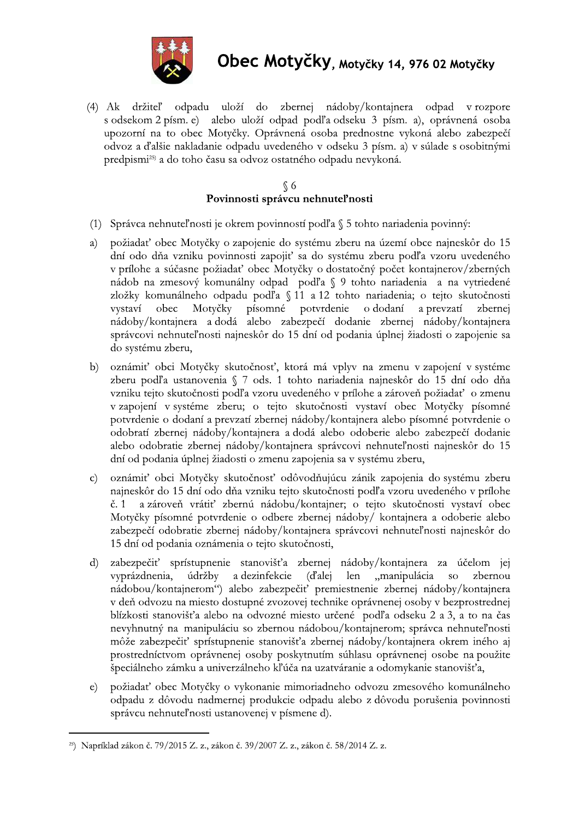

(4) Ak držiteľ odpadu uloží do zbernej nádoby/kontajnera odpad v rozpore s odsekom 2 písm. e) alebo uloží odpad podľa odseku 3 písm. a), oprávnená osoba upozorní na to obec Motyčky. Oprávnená osoba prednostne vykoná alebo zabezpečí odvoz a ďalšie nakladanie odpadu uvedeného v odseku 3 písm. a) v súlade s osobitnými predpismi<sup>25)</sup> a do toho času sa odvoz ostatného odpadu nevykoná.

#### $\S$  6 Povinnosti správcu nehnuteľnosti

- (1) Správca nehnuteľnosti je okrem povinností podľa § 5 tohto nariadenia povinný:
- požiadať obec Motyčky o zapojenie do systému zberu na území obce najneskôr do 15  $a)$ dní odo dňa vzniku povinnosti zapojiť sa do systému zberu podľa vzoru uvedeného v prílohe a súčasne požiadať obec Motyčky o dostatočný počet kontajnerov/zberných nádob na zmesový komunálny odpad podľa § 9 tohto nariadenia a na vytriedené zložky komunálneho odpadu podľa §11 a 12 tohto nariadenia; o tejto skutočnosti obec Motvčky písomné potvrdenie o dodaní a prevzatí vystaví zbernej nádoby/kontajnera a dodá alebo zabezpečí dodanie zbernej nádoby/kontajnera správcovi nehnuteľnosti najneskôr do 15 dní od podania úplnej žiadosti o zapojenie sa do systému zberu,
- oznámiť obci Motyčky skutočnosť, ktorá má vplyv na zmenu v zapojení v systéme  $b)$ zberu podľa ustanovenia § 7 ods. 1 tohto nariadenia najneskôr do 15 dní odo dňa vzniku tejto skutočnosti podľa vzoru uvedeného v prílohe a zároveň požiadať o zmenu v zapojení v systéme zberu; o tejto skutočnosti vystaví obec Motyčky písomné potvrdenie o dodaní a prevzatí zbernej nádoby/kontajnera alebo písomné potvrdenie o odobratí zbernej nádoby/kontajnera a dodá alebo odoberie alebo zabezpečí dodanie alebo odobratie zbernej nádoby/kontajnera správcovi nehnuteľnosti najneskôr do 15 dní od podania úplnej žiadosti o zmenu zapojenia sa v systému zberu,
- oznámiť obci Motyčky skutočnosť odôvodňujúcu zánik zapojenia do systému zberu  $\mathbf{C}$ najneskôr do 15 dní odo dňa vzniku tejto skutočnosti podľa vzoru uvedeného v prílohe a zároveň vrátiť zbernú nádobu/kontajner; o tejto skutočnosti vystaví obec  $\check{\rm c}. 1$ Motyčky písomné potvrdenie o odbere zbernej nádoby/ kontajnera a odoberie alebo zabezpečí odobratie zbernej nádoby/kontajnera správcovi nehnuteľnosti najneskôr do 15 dní od podania oznámenia o tejto skutočnosti,
- zabezpečiť sprístupnenie stanovišťa zbernej nádoby/kontajnera za účelom jej  $\mathbf{d}$ vyprázdnenia, len "manipulácia údržby a dezinfekcie (d'alej <sub>so</sub> zbernou nádobou/kontajnerom") alebo zabezpečiť premiestnenie zbernej nádoby/kontajnera v deň odvozu na miesto dostupné zvozovej technike oprávnenej osoby v bezprostrednej blízkosti stanovišťa alebo na odvozné miesto určené podľa odseku 2 a 3, a to na čas nevyhnutný na manipuláciu so zbernou nádobou/kontajnerom; správca nehnuteľnosti môže zabezpečiť sprístupnenie stanovišťa zbernej nádoby/kontajnera okrem iného aj prostredníctvom oprávnenej osoby poskytnutím súhlasu oprávnenej osobe na použite špeciálneho zámku a univerzálneho kľúča na uzatváranie a odomykanie stanovišťa,
- požiadať obec Motyčky o vykonanie mimoriadneho odvozu zmesového komunálneho  $\epsilon$ ) odpadu z dôvodu nadmernej produkcie odpadu alebo z dôvodu porušenia povinnosti správcu nehnuteľnosti ustanovenej v písmene d).

<sup>&</sup>lt;sup>25</sup>) Napríklad zákon č. 79/2015 Z. z., zákon č. 39/2007 Z. z., zákon č. 58/2014 Z. z.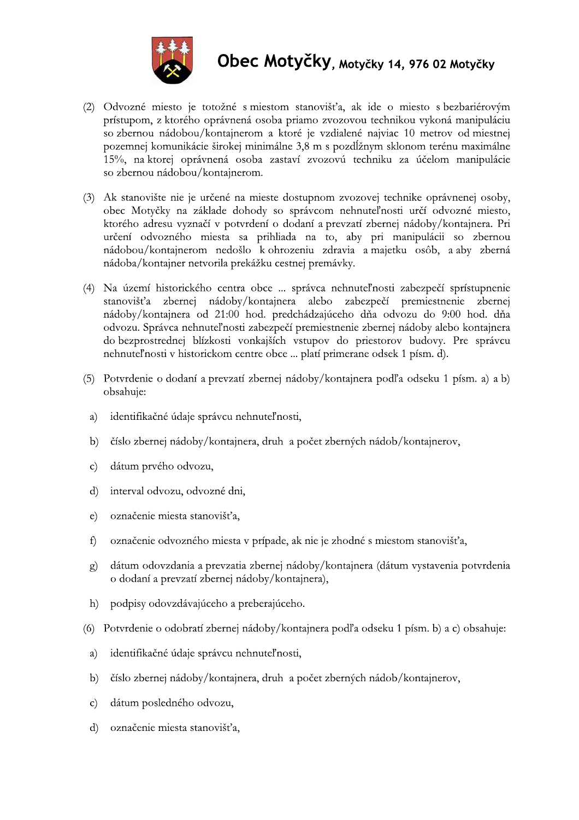

- (2) Odvozné miesto je totožné s miestom stanovišťa, ak ide o miesto s bezbariérovým prístupom, z ktorého oprávnená osoba priamo zvozovou technikou vykoná manipuláciu so zbernou nádobou/kontajnerom a ktoré je vzdialené najviac 10 metrov od miestnej pozemnej komunikácie širokej minimálne 3,8 m s pozdĺžnym sklonom terénu maximálne 15%, na ktorej oprávnená osoba zastaví zvozovú techniku za účelom manipulácie so zbernou nádobou/kontajnerom.
- (3) Ak stanovište nie je určené na mieste dostupnom zvozovej technike oprávnenej osoby, obec Motyčky na základe dohody so správcom nehnuteľnosti určí odvozné miesto, ktorého adresu vyznačí v potvrdení o dodaní a prevzatí zbernej nádoby/kontajnera. Pri určení odvozného miesta sa prihliada na to, aby pri manipulácii so zbernou nádobou/kontajnerom nedošlo k ohrozeniu zdravia a majetku osôb, a aby zberná nádoba/kontajner netvorila prekážku cestnej premávky.
- (4) Na území historického centra obce ... správca nehnuteľnosti zabezpečí sprístupnenie stanovišťa zbernej nádoby/kontajnera alebo zabezpečí premiestnenie zbernej nádoby/kontajnera od 21:00 hod. predchádzajúceho dňa odvozu do 9:00 hod. dňa odvozu. Správca nehnuteľnosti zabezpečí premiestnenie zbernej nádoby alebo kontajnera do bezprostrednej blízkosti vonkajších vstupov do priestorov budovy. Pre správcu nehnuteľnosti v historickom centre obce ... platí primerane odsek 1 písm. d).
- (5) Potvrdenie o dodaní a prevzatí zbernej nádoby/kontajnera podľa odseku 1 písm. a) a b) obsahuje:
- identifikačné údaje správcu nehnuteľnosti, a)
- b) číslo zbernej nádoby/kontajnera, druh a počet zberných nádob/kontajnerov,
- dátum prvého odvozu,  $\mathbf{c}$
- interval odvozu, odvozné dni,  $\mathbf{d}$
- označenie miesta stanovišťa,  $\epsilon$ )
- $f$ označenie odvozného miesta v prípade, ak nie je zhodné s miestom stanovišťa,
- dátum odovzdania a prevzatia zbernej nádoby/kontajnera (dátum vystavenia potvrdenia  $\circ$ ) o dodaní a prevzatí zbernej nádoby/kontajnera),
- h) podpisy odovzdávajúceho a preberajúceho.
- (6) Potvrdenie o odobratí zbernej nádoby/kontajnera podľa odseku 1 písm. b) a c) obsahuje:
- $a)$ identifikačné údaje správcu nehnuteľnosti,
- číslo zbernej nádoby/kontajnera, druh a počet zberných nádob/kontajnerov,  $b)$
- dátum posledného odvozu,  $\mathbf{c}$
- d) označenie miesta stanovišťa,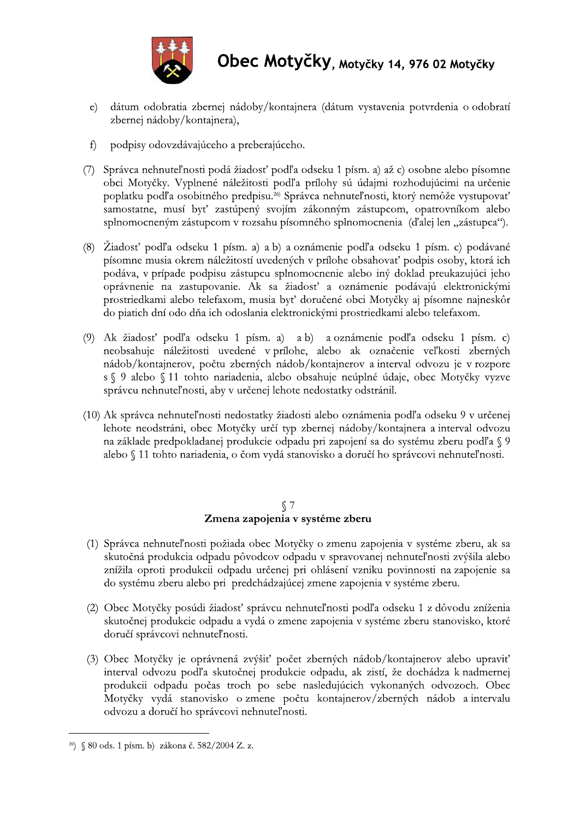

- dátum odobratia zbernej nádoby/kontajnera (dátum vystavenia potvrdenia o odobratí  $\epsilon$ ) zbernej nádoby/kontajnera),
- $f$ podpisy odovzdávajúceho a preberajúceho.
- (7) Správca nehnuteľnosti podá žiadosť podľa odseku 1 písm. a) až c) osobne alebo písomne obci Motyčky. Vyplnené náležitosti podľa prílohy sú údajmi rozhodujúcimi na určenie poplatku podľa osobitného predpisu.<sup>26</sup> Správca nehnuteľnosti, ktorý nemôže vystupovať samostatne, musí byť zastúpený svojím zákonným zástupcom, opatrovníkom alebo splnomocneným zástupcom v rozsahu písomného splnomocnenia (ďalej len "zástupca").
- (8) Žiadosť podľa odseku 1 písm. a) a b) a oznámenie podľa odseku 1 písm. c) podávané písomne musia okrem náležitostí uvedených v prílohe obsahovať podpis osoby, ktorá ich podáva, v prípade podpisu zástupcu splnomocnenie alebo iný doklad preukazujúci jeho oprávnenie na zastupovanie. Ak sa žiadosť a oznámenie podávajú elektronickými prostriedkami alebo telefaxom, musia byť doručené obci Motyčky aj písomne najneskôr do piatich dní odo dňa ich odoslania elektronickými prostriedkami alebo telefaxom.
- (9) Ak žiadosť podľa odseku 1 písm. a) a b) a oznámenie podľa odseku 1 písm. c) neobsahuje náležitosti uvedené v prílohe, alebo ak označenie veľkosti zberných nádob/kontajnerov, počtu zberných nádob/kontajnerov a interval odvozu je v rozpore s § 9 alebo § 11 tohto nariadenia, alebo obsahuje neúplné údaje, obec Motyčky vyzve správcu nehnuteľnosti, aby v určenej lehote nedostatky odstránil.
- (10) Ak správca nehnuteľnosti nedostatky žiadosti alebo oznámenia podľa odseku 9 v určenej lehote neodstráni, obec Motyčky určí typ zbernej nádoby/kontajnera a interval odvozu na základe predpokladanej produkcie odpadu pri zapojení sa do systému zberu podľa § 9 alebo § 11 tohto nariadenia, o čom vydá stanovisko a doručí ho správcovi nehnuteľnosti.

# $$7$ Zmena zapojenia v systéme zberu

- (1) Správca nehnuteľnosti požiada obec Motyčky o zmenu zapojenia v systéme zberu, ak sa skutočná produkcia odpadu pôvodcov odpadu v spravovanej nehnuteľnosti zvýšila alebo znížila oproti produkcii odpadu určenej pri ohlásení vzniku povinnosti na zapojenie sa do systému zberu alebo pri predchádzajúcej zmene zapojenia v systéme zberu.
- (2) Obec Motyčky posúdi žiadosť správcu nehnuteľnosti podľa odseku 1 z dôvodu zníženia skutočnej produkcie odpadu a vydá o zmene zapojenia v systéme zberu stanovisko, ktoré doručí správcovi nehnuteľnosti.
- (3) Obec Motyčky je oprávnená zvýšiť počet zberných nádob/kontajnerov alebo upraviť interval odvozu podľa skutočnej produkcie odpadu, ak zistí, že dochádza k nadmernej produkcii odpadu počas troch po sebe nasledujúcich vykonaných odvozoch. Obec Motyčky vydá stanovisko o zmene počtu kontajnerov/zberných nádob a intervalu odvozu a doručí ho správcovi nehnuteľnosti.

<sup>&</sup>lt;sup>26</sup>) § 80 ods. 1 písm. b) zákona č. 582/2004 Z. z.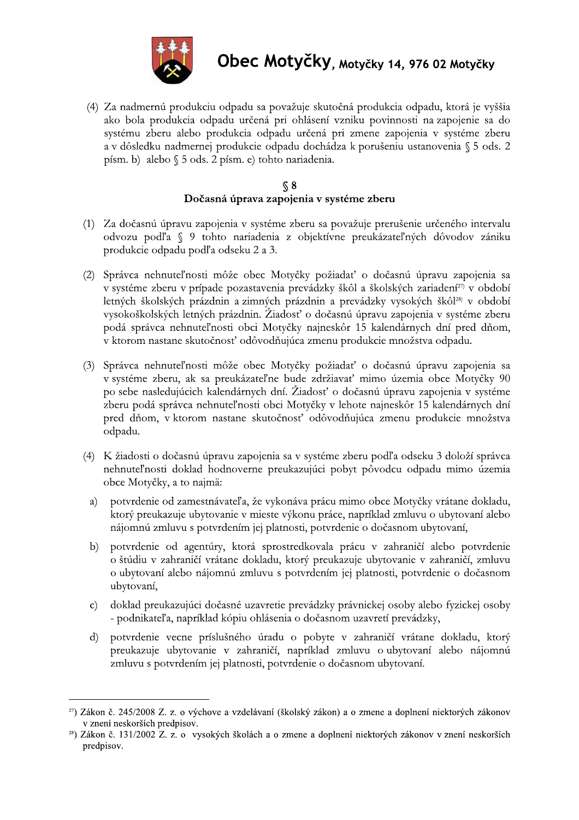

(4) Za nadmernú produkciu odpadu sa považuje skutočná produkcia odpadu, ktorá je vyššia ako bola produkcia odpadu určená pri ohlásení vzniku povinnosti na zapojenie sa do systému zberu alebo produkcia odpadu určená pri zmene zapojenia v systéme zberu a v dôsledku nadmernej produkcie odpadu dochádza k porušeniu ustanovenia § 5 ods. 2 písm. b) alebo § 5 ods. 2 písm. e) tohto nariadenia.

#### $\sqrt{$}8$ Dočasná úprava zapojenia v systéme zberu

- (1) Za dočasnú úpravu zapojenia v systéme zberu sa považuje prerušenie určeného intervalu odvozu podľa § 9 tohto nariadenia z objektívne preukázateľných dôvodov zániku produkcie odpadu podľa odseku 2 a 3.
- (2) Správca nehnuteľnosti môže obec Motyčky požiadať o dočasnú úpravu zapojenia sa v systéme zberu v prípade pozastavenia prevádzky škôl a školských zariadení<sup>27</sup> v období letných školských prázdnin a zimných prázdnin a prevádzky vysokých škôl<sup>28)</sup> v období vysokoškolských letných prázdnin. Žiadosť o dočasnú úpravu zapojenia v systéme zberu podá správca nehnuteľnosti obci Motyčky najneskôr 15 kalendárnych dní pred dňom, v ktorom nastane skutočnosť odôvodňujúca zmenu produkcie množstva odpadu.
- (3) Správca nehnuteľnosti môže obec Motyčky požiadať o dočasnú úpravu zapojenia sa v systéme zberu, ak sa preukázateľne bude zdržiavať mimo územia obce Motyčky 90 po sebe nasledujúcich kalendárnych dní. Žiadosť o dočasnú úpravu zapojenia v systéme zberu podá správca nehnuteľnosti obci Motyčky v lehote najneskôr 15 kalendárnych dní pred dňom, v ktorom nastane skutočnosť odôvodňujúca zmenu produkcie množstva odpadu.
- (4) K žiadosti o dočasnú úpravu zapojenia sa v systéme zberu podľa odseku 3 doloží správca nehnuteľnosti doklad hodnoverne preukazujúci pobyt pôvodcu odpadu mimo územia obce Motyčky, a to najmä:
- potvrdenie od zamestnávateľa, že vykonáva prácu mimo obce Motyčky vrátane dokladu, a) ktorý preukazuje ubytovanie v mieste výkonu práce, napríklad zmluvu o ubytovaní alebo nájomnú zmluvu s potvrdením jej platnosti, potvrdenie o dočasnom ubytovaní,
- potvrdenie od agentúry, ktorá sprostredkovala prácu v zahraničí alebo potvrdenie  $b)$ o štúdiu v zahraničí vrátane dokladu, ktorý preukazuje ubytovanie v zahraničí, zmluvu o ubytovaní alebo nájomnú zmluvu s potvrdením jej platnosti, potvrdenie o dočasnom ubytovaní,
- doklad preukazujúci dočasné uzavretie prevádzky právnickej osoby alebo fyzickej osoby  $\mathbf{c}$ - podnikateľa, napríklad kópiu ohlásenia o dočasnom uzavretí prevádzky,
- potvrdenie vecne príslušného úradu o pobyte v zahraničí vrátane dokladu, ktorý  $\mathbf{d}$ preukazuje ubytovanie v zahraničí, napríklad zmluvu o ubytovaní alebo nájomnú zmluvu s potvrdením jej platnosti, potvrdenie o dočasnom ubytovaní.

<sup>&</sup>lt;sup>27</sup>) Zákon č. 245/2008 Z. z. o výchove a vzdelávaní (školský zákon) a o zmene a doplnení niektorých zákonov v znení neskorších predpisov.

<sup>&</sup>lt;sup>28</sup>) Zákon č. 131/2002 Z. z. o vysokých školách a o zmene a doplnení niektorých zákonov v znení neskorších predpisov.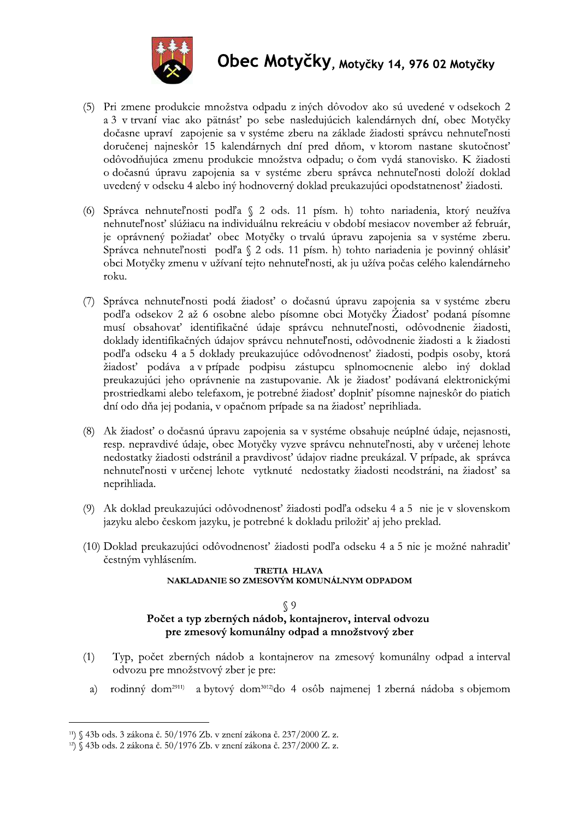

- 
- 
- **CONTROLLAR CONTROLLAR CONTROLLAR CONTROLLAR CONTROLLAR CONTROLLAR CONTROLLAR CONTROLLAR CONTROLLAR CONTROLLAR CONTROLLAR CONTROLLAR CONTROLLAR CONTROLLAR CONTROLLAR CONTROLLAR CONTROLLAR CONTROLLAR CONTROLLAR CONTROLLAR** 
	-
	-
	-

- 
-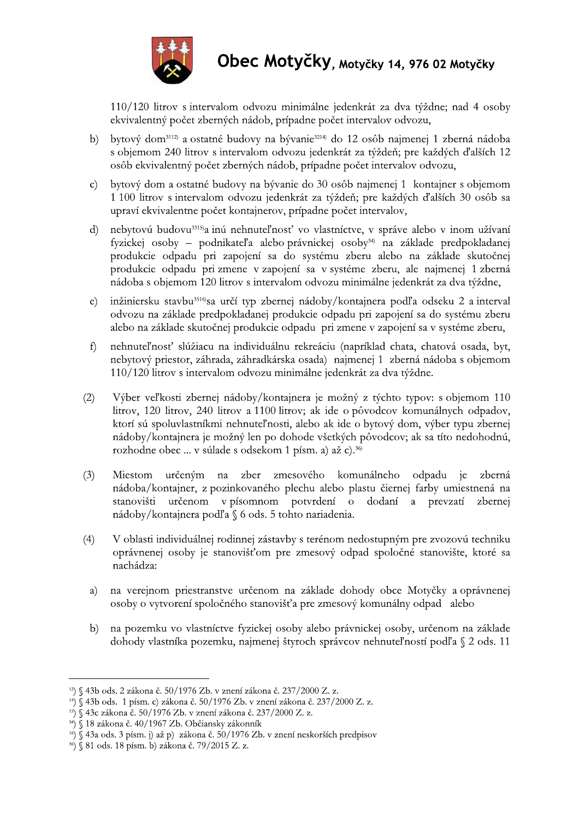

110/120 litrov s intervalom odvozu minimálne jedenkrát za dva týždne; nad 4 osoby ekvivalentný počet zberných nádob, prípadne počet intervalov odvozu,

- b) bytový dom<sup>3112</sup> a ostatné budovy na bývanie<sup>3214)</sup> do 12 osôb najmenej 1 zberná nádoba s objemom 240 litrov s intervalom odvozu jedenkrát za týždeň; pre každých ďalších 12 osôb ekvivalentný počet zberných nádob, prípadne počet intervalov odvozu,
- bytový dom a ostatné budovy na bývanie do 30 osôb najmenej 1 kontajner s objemom  $\mathbf{c})$ 1 100 litrov s intervalom odvozu jedenkrát za týždeň; pre každých ďalších 30 osôb sa upraví ekvivalentne počet kontajnerov, prípadne počet intervalov,
- nebytovú budovu<sup>3315)</sup>a inú nehnuteľnosť vo vlastníctve, v správe alebo v inom užívaní  $\mathbf{d}$ fyzickej osoby – podnikateľa alebo právnickej osoby<sup>34)</sup> na základe predpokladanej produkcie odpadu pri zapojení sa do systému zberu alebo na základe skutočnej produkcie odpadu pri zmene v zapojení sa v systéme zberu, ale najmenej 1 zberná nádoba s objemom 120 litrov s intervalom odvozu minimálne jedenkrát za dva týždne,
- inžiniersku stavbu<sup>3516</sup>sa určí typ zbernej nádoby/kontajnera podľa odseku 2 a interval  $\epsilon$ ) odvozu na základe predpokladanej produkcie odpadu pri zapojení sa do systému zberu alebo na základe skutočnej produkcie odpadu pri zmene v zapojení sa v systéme zberu,
- nehnuteľnosť slúžiacu na individuálnu rekreáciu (napríklad chata, chatová osada, byt,  $f$ nebytový priestor, záhrada, záhradkárska osada) najmenej 1 zberná nádoba s objemom 110/120 litrov s intervalom odvozu minimálne jedenkrát za dva týždne.
- $(2)$ Výber veľkosti zbernej nádoby/kontajnera je možný z týchto typov: s objemom 110 litrov, 120 litrov, 240 litrov a 1100 litrov; ak ide o pôvodcov komunálnych odpadov, ktorí sú spoluvlastníkmi nehnuteľnosti, alebo ak ide o bytový dom, výber typu zbernej nádoby/kontajnera je možný len po dohode všetkých pôvodcov; ak sa títo nedohodnú, rozhodne obec ... v súlade s odsekom 1 písm. a) až c).<sup>36</sup>
- $(3)$ Miestom určeným na zber zmesového komunálneho odpadu je zberná nádoba/kontajner, z pozinkovaného plechu alebo plastu čiernej farby umiestnená na stanovišti určenom v písomnom potvrdení o dodaní a prevzatí zbernej nádoby/kontajnera podľa § 6 ods. 5 tohto nariadenia.
- V oblasti individuálnej rodinnej zástavby s terénom nedostupným pre zvozovú techniku  $(4)$ oprávnenej osoby je stanovišťom pre zmesový odpad spoločné stanovište, ktoré sa nachádza:
- na verejnom priestranstve určenom na základe dohody obce Motyčky a oprávnenej a) osoby o vytvorení spoločného stanovišťa pre zmesový komunálny odpad alebo
- na pozemku vo vlastníctve fyzickej osoby alebo právnickej osoby, určenom na základe  $b)$ dohody vlastníka pozemku, najmenej štyroch správcov nehnuteľností podľa § 2 ods. 11

<sup>&</sup>lt;sup>12</sup>) § 43b ods. 2 zákona č. 50/1976 Zb. v znení zákona č. 237/2000 Z. z.

<sup>&</sup>lt;sup>14</sup>) § 43b ods. 1 písm. c) zákona č. 50/1976 Zb. v znení zákona č. 237/2000 Z. z.

<sup>&</sup>lt;sup>15</sup>) § 43c zákona č. 50/1976 Zb. v znení zákona č. 237/2000 Z. z.

<sup>34) § 18</sup> zákona č. 40/1967 Zb. Občiansky zákonník

<sup>&</sup>lt;sup>16</sup>) § 43a ods. 3 písm. j) až p) zákona č. 50/1976 Zb. v znení neskorších predpisov

<sup>&</sup>lt;sup>36</sup>) § 81 ods. 18 písm. b) zákona č. 79/2015 Z. z.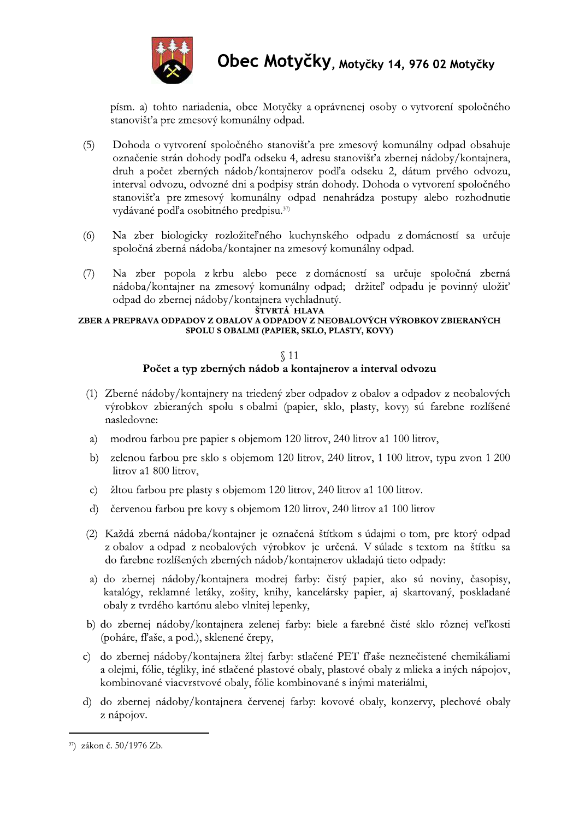

písm. a) tohto nariadenia, obce Motyčky a oprávnenej osoby o vytvorení spoločného stanovišťa pre zmesový komunálny odpad.

- Dohoda o vytvorení spoločného stanovišťa pre zmesový komunálny odpad obsahuje  $(5)$ označenie strán dohody podľa odseku 4. adresu stanovišťa zbernej nádoby/kontajnera. druh a počet zberných nádob/kontajnerov podľa odseku 2, dátum prvého odvozu, interval odvozu, odvozné dni a podpisy strán dohody. Dohoda o vytvorení spoločného stanovišťa pre zmesový komunálny odpad nenahrádza postupy alebo rozhodnutie vydávané podľa osobitného predpisu.<sup>37)</sup>
- $(6)$ Na zber biologicky rozložiteľného kuchynského odpadu z domácností sa určuje spoločná zberná nádoba/kontajner na zmesový komunálny odpad.
- $(7)$ Na zber popola z krbu alebo pece z domácností sa určuje spoločná zberná nádoba/kontajner na zmesový komunálny odpad; držiteľ odpadu je povinný uložiť odpad do zbernej nádoby/kontajnera vychladnutý.

#### ŠTVRTÁ HLAVA

#### ZBER A PREPRAVA ODPADOV Z OBALOV A ODPADOV Z NEOBALOVÝCH VÝROBKOV ZBIERANÝCH SPOLU S OBALMI (PAPIER, SKLO, PLASTY, KOVY)

#### $$11$

#### Počet a typ zberných nádob a kontajnerov a interval odvozu

- (1) Zberné nádoby/kontajnery na triedený zber odpadov z obalov a odpadov z neobalových výrobkov zbieraných spolu s obalmi (papier, sklo, plasty, kovy) sú farebne rozlíšené nasledovne:
- modrou farbou pre papier s objemom 120 litrov, 240 litrov a1 100 litrov, a)
- zelenou farbou pre sklo s objemom 120 litrov, 240 litrov, 1 100 litrov, typu zvon 1 200  $b)$ litrov a1 800 litrov,
- žltou farbou pre plasty s objemom 120 litrov, 240 litrov a1 100 litrov.  $\mathbf{c}$
- červenou farbou pre kovy s objemom 120 litrov, 240 litrov a1 100 litrov  $d$
- (2) Každá zberná nádoba/kontajner je označená štítkom s údajmi o tom, pre ktorý odpad z obalov a odpad z neobalových výrobkov je určená. V súlade s textom na štítku sa do farebne rozlíšených zberných nádob/kontajnerov ukladajú tieto odpady:
- a) do zbernej nádoby/kontajnera modrej farby: čistý papier, ako sú noviny, časopisy, katalógy, reklamné letáky, zošity, knihy, kancelársky papier, aj skartovaný, poskladané obaly z tvrdého kartónu alebo vlnitej lepenky,
- b) do zbernej nádoby/kontajnera zelenej farby: biele a farebné čisté sklo rôznej veľkosti (poháre, fľaše, a pod.), sklenené črepy,
- do zbernej nádoby/kontajnera žltej farby: stlačené PET fľaše neznečistené chemikáliami  $\mathbf{c}$ a olejmi, fólie, tégliky, iné stlačené plastové obaly, plastové obaly z mlieka a iných nápojov, kombinované viacvrstvové obaly, fólie kombinované s inými materiálmi,
- d) do zbernej nádoby/kontajnera červenej farby: kovové obaly, konzervy, plechové obaly z nápojov.

<sup>&</sup>lt;sup>37</sup>) zákon č. 50/1976 Zb.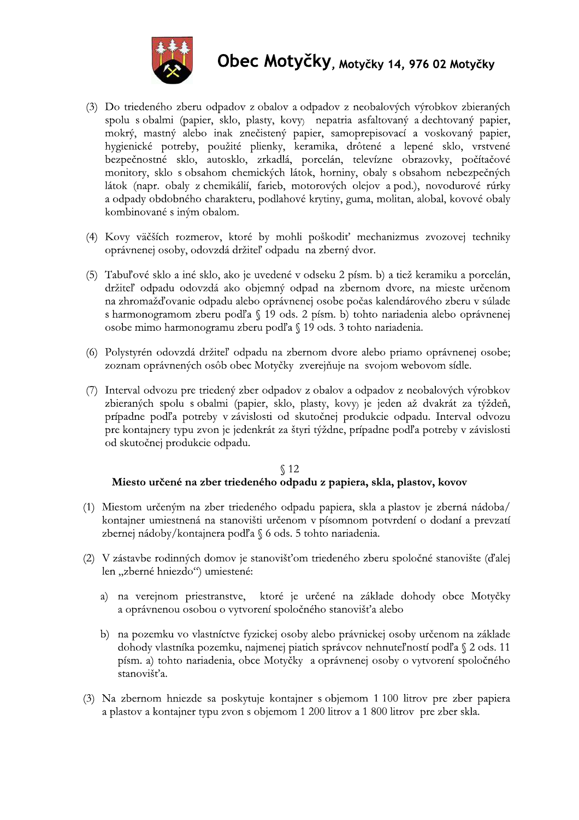

- (3) Do triedeného zberu odpadov z obalov a odpadov z neobalových výrobkov zbieraných spolu s obalmi (papier, sklo, plasty, kovy) nepatria asfaltovaný a dechtovaný papier, mokrý, mastný alebo inak znečistený papier, samoprepisovací a voskovaný papier, hygienické potreby, použité plienky, keramika, drôtené a lepené sklo, vrstvené bezpečnostné sklo, autosklo, zrkadlá, porcelán, televízne obrazovky, počítačové monitory, sklo s obsahom chemických látok, horniny, obaly s obsahom nebezpečných látok (napr. obaly z chemikálií, farieb, motorových olejov a pod.), novodurové rúrky a odpady obdobného charakteru, podlahové krytiny, guma, molitan, alobal, kovové obaly kombinované s iným obalom.
- (4) Kovy väčších rozmerov, ktoré by mohli poškodiť mechanizmus zvozovej techniky oprávnenej osoby, odovzdá držiteľ odpadu na zberný dvor.
- (5) Tabuľové sklo a iné sklo, ako je uvedené v odseku 2 písm. b) a tiež keramiku a porcelán, držiteľ odpadu odovzdá ako objemný odpad na zbernom dvore, na mieste určenom na zhromažďovanie odpadu alebo oprávnenej osobe počas kalendárového zberu v súlade s harmonogramom zberu podľa § 19 ods. 2 písm. b) tohto nariadenia alebo oprávnenej osobe mimo harmonogramu zberu podľa § 19 ods. 3 tohto nariadenia.
- (6) Polystyrén odovzdá držiteľ odpadu na zbernom dvore alebo priamo oprávnenej osobe; zoznam oprávnených osôb obec Motyčky zverejňuje na svojom webovom sídle.
- (7) Interval odvozu pre triedený zber odpadov z obalov a odpadov z neobalových výrobkov zbieraných spolu s obalmi (papier, sklo, plasty, kovy) je jeden až dvakrát za týždeň, prípadne podľa potreby v závislosti od skutočnej produkcie odpadu. Interval odvozu pre kontajnery typu zvon je jedenkrát za štyri týždne, prípadne podľa potreby v závislosti od skutočnej produkcie odpadu.

## $\S 12$ Miesto určené na zber triedeného odpadu z papiera, skla, plastov, kovov

- (1) Miestom určeným na zber triedeného odpadu papiera, skla a plastov je zberná nádoba/ kontajner umiestnená na stanovišti určenom v písomnom potvrdení o dodaní a prevzatí zbernej nádoby/kontajnera podľa § 6 ods. 5 tohto nariadenia.
- (2) V zástavbe rodinných domov je stanovišťom triedeného zberu spoločné stanovište (ďalej len "zberné hniezdo") umiestené:
	- a) na verejnom priestranstve, ktoré je určené na základe dohody obce Motyčky a oprávnenou osobou o vytvorení spoločného stanovišťa alebo
	- b) na pozemku vo vlastníctve fyzickej osoby alebo právnickej osoby určenom na základe dohody vlastníka pozemku, najmenej piatich správcov nehnuteľností podľa § 2 ods. 11 písm. a) tohto nariadenia, obce Motyčky a oprávnenej osoby o vytvorení spoločného stanovišťa.
- (3) Na zbernom hniezde sa poskytuje kontajner s objemom 1 100 litrov pre zber papiera a plastov a kontajner typu zvon s objemom 1 200 litrov a 1 800 litrov pre zber skla.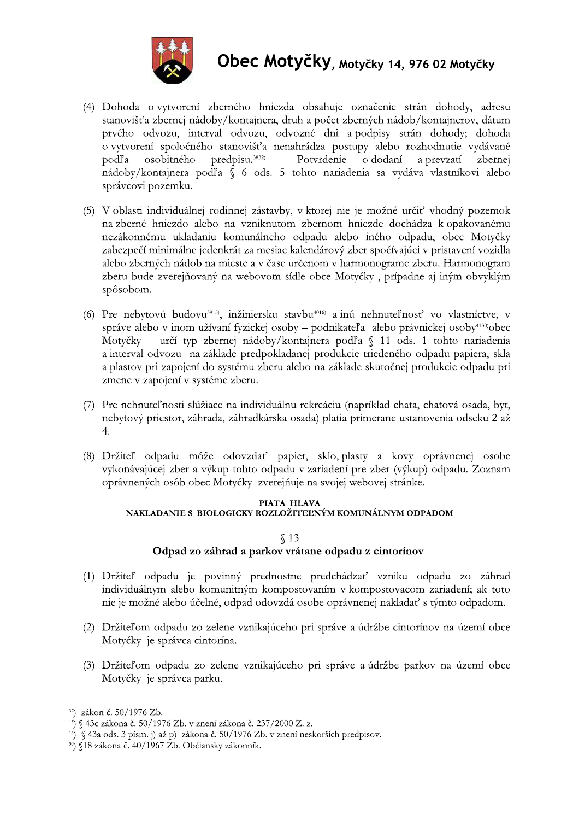

- (4) Dohoda o vytvorení zberného hniezda obsahuje označenie strán dohody, adresu stanovišťa zbernej nádoby/kontajnera, druh a počet zberných nádob/kontajnerov, dátum prvého odvozu, interval odvozu, odvozné dni a podpisy strán dohody; dohoda o vytvorení spoločného stanovišťa nenahrádza postupy alebo rozhodnutie vydávané osobitného predpisu.<sup>3832)</sup> o dodaní podľa Potvrdenie a prevzatí zbernej nádoby/kontajnera podľa § 6 ods. 5 tohto nariadenia sa vydáva vlastníkovi alebo správcovi pozemku.
- (5) V oblasti individuálnej rodinnej zástavby, v ktorej nie je možné určiť vhodný pozemok na zberné hniezdo alebo na vzniknutom zbernom hniezde dochádza k opakovanému nezákonnému ukladaniu komunálneho odpadu alebo iného odpadu, obec Motyčky zabezpečí minimálne jedenkrát za mesiac kalendárový zber spočívajúci v pristavení vozidla alebo zberných nádob na mieste a v čase určenom v harmonograme zberu. Harmonogram zberu bude zverejňovaný na webovom sídle obce Motyčky, prípadne aj iným obvyklým spôsobom.
- (6) Pre nebytovú budovu<sup>3915)</sup>, inžiniersku stavbu<sup>4016)</sup> a inú nehnuteľnosť vo vlastníctve, v správe alebo v inom užívaní fyzickej osoby – podnikateľa alebo právnickej osoby<sup>4130</sup>obec určí typ zbernej nádoby/kontajnera podľa § 11 ods. 1 tohto nariadenia Motvčky a interval odvozu na základe predpokladanej produkcie triedeného odpadu papiera, skla a plastov pri zapojení do systému zberu alebo na základe skutočnej produkcie odpadu pri zmene v zapojení v systéme zberu.
- (7) Pre nehnuteľnosti slúžiace na individuálnu rekreáciu (napríklad chata, chatová osada, byt, nebytový priestor, záhrada, záhradkárska osada) platia primerane ustanovenia odseku 2 až  $\overline{4}$ .
- (8) Držiteľ odpadu môže odovzdať papier, sklo, plasty a kovy oprávnenej osobe vykonávajúcej zber a výkup tohto odpadu v zariadení pre zber (výkup) odpadu. Zoznam oprávnených osôb obec Motyčky zverejňuje na svojej webovej stránke.

#### PIATA HLAVA NAKLADANIE S BIOLOGICKY ROZLOŽITEĽNÝM KOMUNÁLNYM ODPADOM

#### $$13$ Odpad zo záhrad a parkov vrátane odpadu z cintorínov

- (1) Držiteľ odpadu je povinný prednostne predchádzať vzniku odpadu zo záhrad individuálnym alebo komunitným kompostovaním v kompostovacom zariadení; ak toto nie je možné alebo účelné, odpad odovzdá osobe oprávnenej nakladať s týmto odpadom.
- (2) Držiteľom odpadu zo zelene vznikajúceho pri správe a údržbe cintorínov na území obce Motyčky je správca cintorína.
- (3) Držiteľom odpadu zo zelene vznikajúceho pri správe a údržbe parkov na území obce Motyčky je správca parku.

<sup>32)</sup> zákon č. 50/1976 Zb.

<sup>&</sup>lt;sup>15</sup>) § 43c zákona č. 50/1976 Zb. v znení zákona č. 237/2000 Z. z.

<sup>&</sup>lt;sup>16</sup>) § 43a ods. 3 písm. j) až p) zákona č. 50/1976 Zb. v znení neskorších predpisov.

<sup>&</sup>lt;sup>30</sup>) §18 zákona č. 40/1967 Zb. Občiansky zákonník.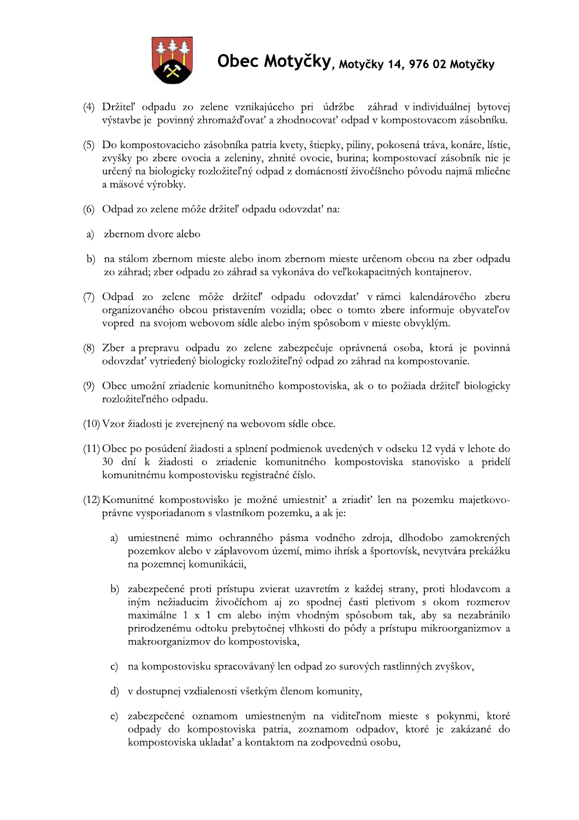

- (4) Držiteľ odpadu zo zelene vznikajúceho pri údržbe záhrad v individuálnej bytovej výstavbe je povinný zhromažďovať a zhodnocovať odpad v kompostovacom zásobníku.
- (5) Do kompostovacieho zásobníka patria kvety, štiepky, piliny, pokosená tráva, konáre, lístie, zvyšky po zbere ovocia a zeleniny, zhnité ovocie, burina; kompostovací zásobník nie je určený na biologicky rozložiteľný odpad z domácností živočíšneho pôvodu najmä mliečne a mäsové výrobky.
- (6) Odpad zo zelene môže držiteľ odpadu odovzdať na:
- a) zbernom dvore alebo
- b) na stálom zbernom mieste alebo inom zbernom mieste určenom obcou na zber odpadu zo záhrad; zber odpadu zo záhrad sa vykonáva do veľkokapacitných kontajnerov.
- (7) Odpad zo zelene môže držiteľ odpadu odovzdať v rámci kalendárového zberu organizovaného obcou pristavením vozidla; obec o tomto zbere informuje obyvateľov vopred na svojom webovom sídle alebo iným spôsobom v mieste obvyklým.
- (8) Zber a prepravu odpadu zo zelene zabezpečuje oprávnená osoba, ktorá je povinná odovzdať vytriedený biologicky rozložiteľný odpad zo záhrad na kompostovanie.
- (9) Obec umožní zriadenie komunitného kompostoviska, ak o to požiada držiteľ biologicky rozložiteľného odpadu.
- (10) Vzor žiadosti je zverejnený na webovom sídle obce.
- (11) Obec po posúdení žiadosti a splnení podmienok uvedených v odseku 12 vydá v lehote do 30 dní k žiadosti o zriadenie komunitného kompostoviska stanovisko a pridelí komunitnému kompostovisku registračné číslo.
- (12) Komunitné kompostovisko je možné umiestniť a zriadiť len na pozemku majetkovoprávne vysporiadanom s vlastníkom pozemku, a ak je:
	- a) umiestnené mimo ochranného pásma vodného zdroja, dlhodobo zamokrených pozemkov alebo v záplavovom území, mimo ihrísk a športovísk, nevytvára prekážku na pozemnej komunikácii,
	- b) zabezpečené proti prístupu zvierat uzavretím z každej strany, proti hlodavcom a iným nežiaducim živočíchom aj zo spodnej časti pletivom s okom rozmerov maximálne 1 x 1 cm alebo iným vhodným spôsobom tak, aby sa nezabránilo prirodzenému odtoku prebytočnej vlhkosti do pôdy a prístupu mikroorganizmov a makroorganizmov do kompostoviska,
	- c) na kompostovisku spracovávaný len odpad zo surových rastlinných zvyškov,
	- d) v dostupnej vzdialenosti všetkým členom komunity,
	- e) zabezpečené oznamom umiestneným na viditeľnom mieste s pokynmi, ktoré odpady do kompostoviska patria, zoznamom odpadov, ktoré je zakázané do kompostoviska ukladať a kontaktom na zodpovednú osobu,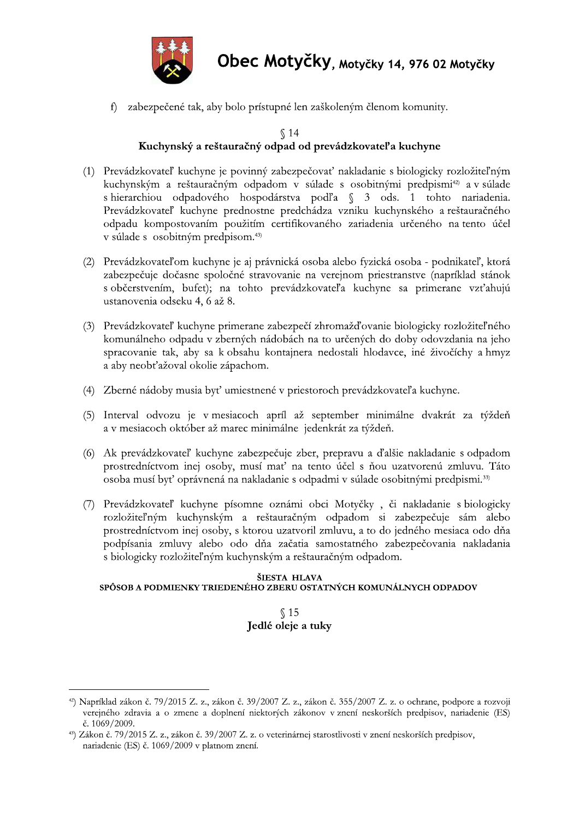

f) zabezpečené tak, aby bolo prístupné len zaškoleným členom komunity.

## $\sqrt{14}$ Kuchynský a reštauračný odpad od prevádzkovateľ a kuchyne

- (1) Prevádzkovateľ kuchyne je povinný zabezpečovať nakladanie s biologicky rozložiteľným kuchynským a reštauračným odpadom v súlade s osobitnými predpismi<sup>42</sup>) a v súlade s hierarchiou odpadového hospodárstva podľa § 3 ods. 1 tohto nariadenia. Prevádzkovateľ kuchyne prednostne predchádza vzniku kuchynského a reštauračného odpadu kompostovaním použitím certifikovaného zariadenia určeného na tento účel v súlade s osobitným predpisom.<sup>43)</sup>
- (2) Prevádzkovateľom kuchyne je aj právnická osoba alebo fyzická osoba podnikateľ, ktorá zabezpečuje dočasne spoločné stravovanie na verejnom priestranstve (napríklad stánok s občerstvením, bufet); na tohto prevádzkovateľa kuchyne sa primerane vzťahujú ustanovenia odseku 4, 6 až 8.
- (3) Prevádzkovateľ kuchyne primerane zabezpečí zhromažďovanie biologicky rozložiteľného komunálneho odpadu v zberných nádobách na to určených do doby odovzdania na jeho spracovanie tak, aby sa k obsahu kontajnera nedostali hlodavce, iné živočíchy a hmyz a aby neobťažoval okolie zápachom.
- (4) Zberné nádoby musia byť umiestnené v priestoroch prevádzkovateľa kuchyne.
- (5) Interval odvozu je v mesiacoch apríl až september minimálne dvakrát za týždeň a v mesiacoch október až marec minimálne jedenkrát za týždeň.
- (6) Ak prevádzkovateľ kuchyne zabezpečuje zber, prepravu a ďalšie nakladanie s odpadom prostredníctvom inej osoby, musí mať na tento účel s ňou uzatvorenú zmluvu. Táto osoba musí byť oprávnená na nakladanie s odpadmi v súlade osobitnými predpismi.<sup>33)</sup>
- (7) Prevádzkovateľ kuchyne písomne oznámi obci Motyčky, či nakladanie s biologicky rozložiteľným kuchynským a reštauračným odpadom si zabezpečuje sám alebo prostredníctvom inej osoby, s ktorou uzatvoril zmluvu, a to do jedného mesiaca odo dňa podpísania zmluvy alebo odo dňa začatia samostatného zabezpečovania nakladania s biologicky rozložiteľným kuchynským a reštauračným odpadom.

#### ŠIESTA HLAVA

#### SPÔSOB A PODMIENKY TRIEDENÉHO ZBERU OSTATNÝCH KOMUNÁLNYCH ODPADOV

## $$15$ Jedlé oleje a tuky

 $42$ ) Napríklad zákon č. 79/2015 Z. z., zákon č. 39/2007 Z. z., zákon č. 355/2007 Z. z. o ochrane, podpore a rozvoji verejného zdravia a o zmene a doplnení niektorých zákonov v znení neskorších predpisov, nariadenie (ES) č. 1069/2009.

<sup>&</sup>lt;sup>43</sup>) Zákon č. 79/2015 Z. z., zákon č. 39/2007 Z. z. o veterinárnej starostlivosti v znení neskorších predpisov, nariadenie (ES) č. 1069/2009 v platnom znení.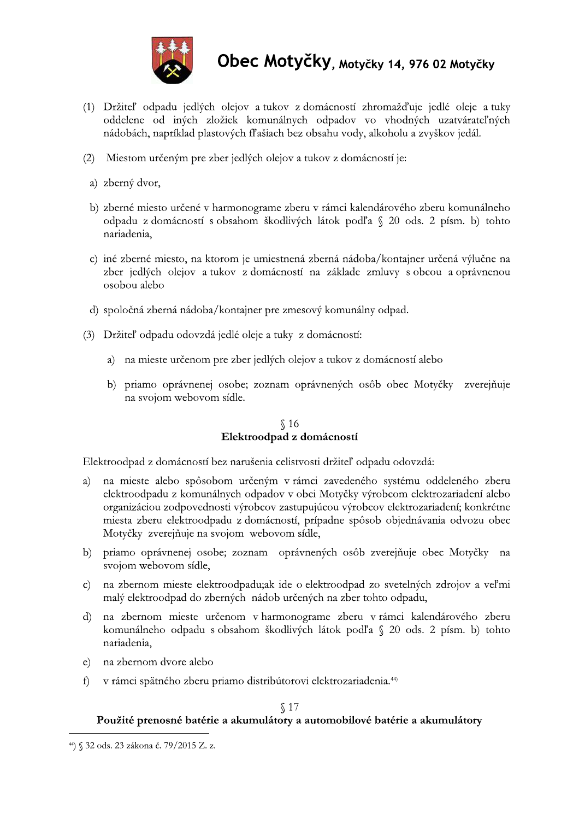

- (1) Držiteľ odpadu jedlých olejov a tukov z domácností zhromažďuje jedlé oleje a tuky oddelene od iných zložiek komunálnych odpadov vo vhodných uzatvárateľných nádobách, napríklad plastových fľašiach bez obsahu vody, alkoholu a zvyškov jedál.
- (2) Miestom určeným pre zber jedlých olejov a tukov z domácností je:
- a) zberný dvor,
- b) zberné miesto určené v harmonograme zberu v rámci kalendárového zberu komunálneho odpadu z domácností s obsahom škodlivých látok podľa § 20 ods. 2 písm. b) tohto nariadenia,
- c) iné zberné miesto, na ktorom je umiestnená zberná nádoba/kontajner určená výlučne na zber jedlých olejov a tukov z domácností na základe zmluvy s obcou a oprávnenou osobou alebo
- d) spoločná zberná nádoba/kontajner pre zmesový komunálny odpad.
- (3) Držiteľ odpadu odovzdá jedlé oleje a tuky z domácností:
	- a) na mieste určenom pre zber jedlých olejov a tukov z domácností alebo
	- b) priamo oprávnenej osobe; zoznam oprávnených osôb obec Motyčky zverejňuje na svojom webovom sídle.

#### $\S$  16 Elektroodpad z domácností

Elektroodpad z domácností bez narušenia celistvosti držiteľ odpadu odovzdá:

- na mieste alebo spôsobom určeným v rámci zavedeného systému oddeleného zberu a) elektroodpadu z komunálnych odpadov v obci Motyčky výrobcom elektrozariadení alebo organizáciou zodpovednosti výrobcov zastupujúcou výrobcov elektrozariadení; konkrétne miesta zberu elektroodpadu z domácností, prípadne spôsob objednávania odvozu obec Motyčky zverejňuje na svojom webovom sídle,
- b) priamo oprávnenej osobe; zoznam oprávnených osôb zverejňuje obec Motyčky na svojom webovom sídle,
- c) na zbernom mieste elektroodpadu;ak ide o elektroodpad zo svetelných zdrojov a veľmi malý elektroodpad do zberných nádob určených na zber tohto odpadu,
- d) na zbernom mieste určenom v harmonograme zberu v rámci kalendárového zberu komunálneho odpadu s obsahom škodlivých látok podľa § 20 ods. 2 písm. b) tohto nariadenia.
- na zbernom dvore alebo  $\epsilon$ )
- v rámci spätného zberu priamo distribútorovi elektrozariadenia.<sup>44)</sup> f).

#### $\S$  17

#### Použité prenosné batérie a akumulátory a automobilové batérie a akumulátory

<sup>&</sup>lt;sup>44</sup>) § 32 ods. 23 zákona č. 79/2015 Z. z.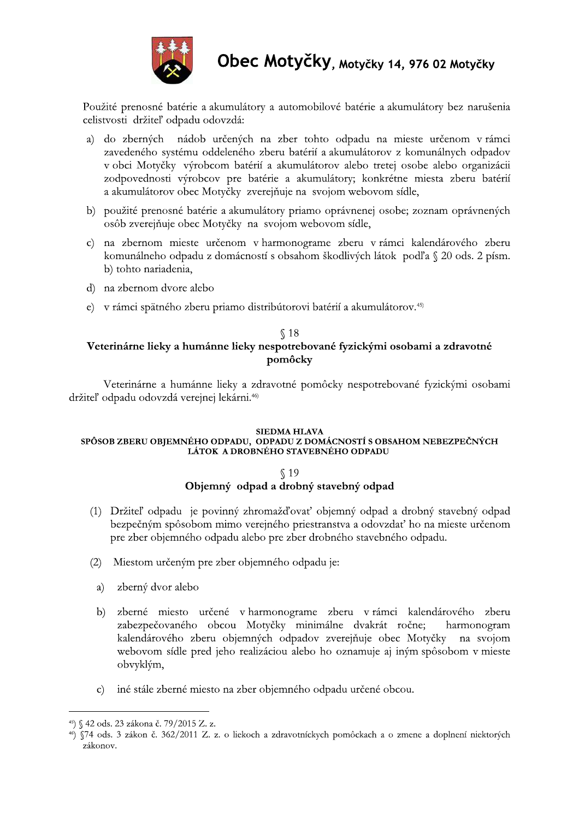

Použité prenosné batérie a akumulátory a automobilové batérie a akumulátory bez narušenia celistvosti držiteľ odpadu odovzdá:

- nádob určených na zber tohto odpadu na mieste určenom v rámci a) do zberných zavedeného systému oddeleného zberu batérií a akumulátorov z komunálnych odpadov v obci Motyčky výrobcom batérií a akumulátorov alebo tretej osobe alebo organizácii zodpovednosti výrobcov pre batérie a akumulátory; konkrétne miesta zberu batérií a akumulátorov obec Motyčky zverejňuje na svojom webovom sídle,
- b) použité prenosné batérie a akumulátory priamo oprávnenej osobe; zoznam oprávnených osôb zverejňuje obec Motyčky na svojom webovom sídle,
- c) na zbernom mieste určenom v harmonograme zberu v rámci kalendárového zberu komunálneho odpadu z domácností s obsahom škodlivých látok podľa § 20 ods. 2 písm. b) tohto nariadenia,
- d) na zbernom dvore alebo
- e) v rámci spätného zberu priamo distribútorovi batérií a akumulátorov.<sup>45)</sup>

#### $$18$ Veterinárne lieky a humánne lieky nespotrebované fyzickými osobami a zdravotné pomôcky

Veterinárne a humánne lieky a zdravotné pomôcky nespotrebované fyzickými osobami držiteľ odpadu odovzdá verejnej lekárni.<sup>46)</sup>

#### **SIEDMA HLAVA**

#### SPÔSOB ZBERU OBJEMNÉHO ODPADU, ODPADU Z DOMÁCNOSTÍ S OBSAHOM NEBEZPEČNÝCH LÁTOK A DROBNÉHO STAVEBNÉHO ODPADU

#### $$19$ Objemný odpad a drobný stavebný odpad

- (1) Držiteľ odpadu je povinný zhromažďovať objemný odpad a drobný stavebný odpad bezpečným spôsobom mimo verejného priestranstva a odovzdať ho na mieste určenom pre zber objemného odpadu alebo pre zber drobného stavebného odpadu.
- $(2)$ Miestom určeným pre zber objemného odpadu je:
	- zberný dvor alebo a)
	- zberné miesto určené v harmonograme zberu v rámci kalendárového zberu  $b)$ zabezpečovaného obcou Motyčky minimálne dvakrát ročne; harmonogram kalendárového zberu objemných odpadov zverejňuje obec Motyčky na svojom webovom sídle pred jeho realizáciou alebo ho oznamuje aj iným spôsobom v mieste obvyklým,
	- iné stále zberné miesto na zber objemného odpadu určené obcou.  $\mathbf{c}$

<sup>&</sup>lt;sup>45</sup>) § 42 ods. 23 zákona č. 79/2015 Z. z.

<sup>46) §74</sup> ods. 3 zákon č. 362/2011 Z. z. o liekoch a zdravotníckych pomôckach a o zmene a doplnení niektorých zákonov.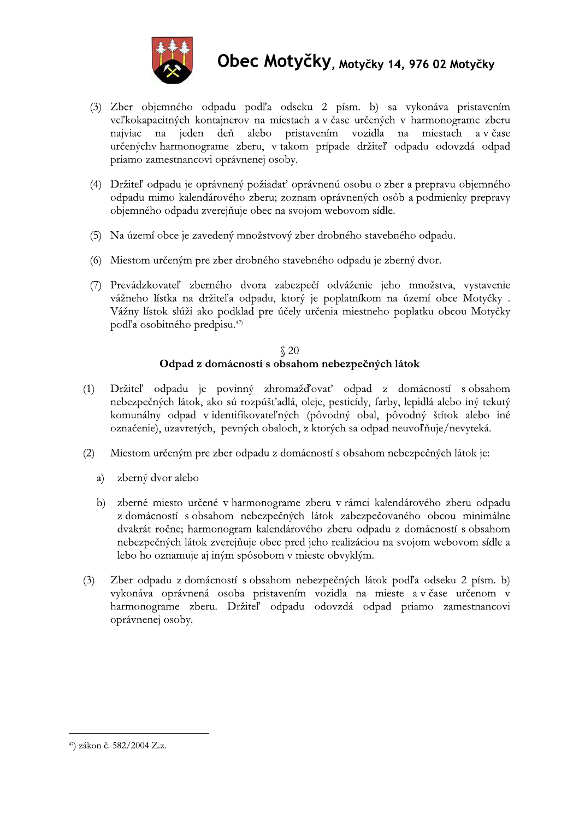

- (3) Zber objemného odpadu podľa odseku 2 písm. b) sa vykonáva pristavením veľkokapacitných kontajnerov na miestach a v čase určených v harmonograme zberu najviac na jeden deň alebo pristavením vozidla na miestach a v čase určenýchy harmonograme zberu, v takom prípade držiteľ odpadu odovzdá odpad priamo zamestnancovi oprávnenej osoby.
- (4) Držiteľ odpadu je oprávnený požiadať oprávnenú osobu o zber a prepravu objemného odpadu mimo kalendárového zberu; zoznam oprávnených osôb a podmienky prepravy objemného odpadu zverejňuje obec na svojom webovom sídle.
- (5) Na území obce je zavedený množstvový zber drobného stavebného odpadu.
- (6) Miestom určeným pre zber drobného stavebného odpadu je zberný dvor.
- (7) Prevádzkovateľ zberného dvora zabezpečí odváženie jeho množstva, vystavenie vážneho lístka na držiteľa odpadu, ktorý je poplatníkom na území obce Motyčky. Vážny lístok slúži ako podklad pre účely určenia miestneho poplatku obcou Motyčky podľa osobitného predpisu.<sup>47)</sup>

#### $\sqrt{20}$ Odpad z domácností s obsahom nebezpečných látok

- Držiteľ odpadu je povinný zhromažďovať odpad z domácností s obsahom  $(1)$ nebezpečných látok, ako sú rozpúšťadlá, oleje, pesticídy, farby, lepidlá alebo iný tekutý komunálny odpad v identifikovateľných (pôvodný obal, pôvodný štítok alebo iné označenie), uzavretých, pevných obaloch, z ktorých sa odpad neuvoľňuje/nevyteká.
- Miestom určeným pre zber odpadu z domácností s obsahom nebezpečných látok je:  $(2)$ 
	- a) zberný dvor alebo
	- zberné miesto určené v harmonograme zberu v rámci kalendárového zberu odpadu  $b)$ z domácností s obsahom nebezpečných látok zabezpečovaného obcou minimálne dvakrát ročne; harmonogram kalendárového zberu odpadu z domácností s obsahom nebezpečných látok zverejňuje obec pred jeho realizáciou na svojom webovom sídle a lebo ho oznamuje aj iným spôsobom v mieste obvyklým.
- Zber odpadu z domácností s obsahom nebezpečných látok podľa odseku 2 písm. b)  $(3)$ vykonáva oprávnená osoba pristavením vozidla na mieste a v čase určenom v harmonograme zberu. Držiteľ odpadu odovzdá odpad priamo zamestnancovi oprávnenej osoby.

<sup>&</sup>lt;sup>47</sup>) zákon č. 582/2004 Z.z.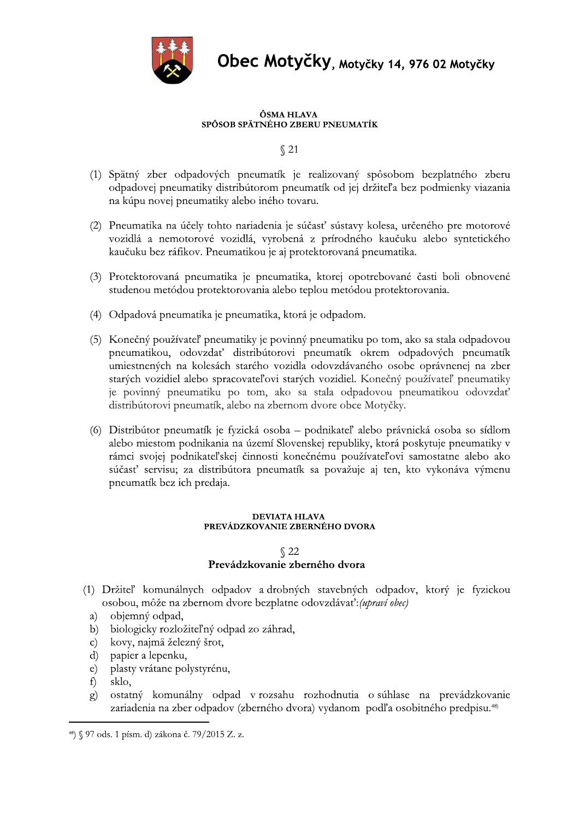

**UDEC MOTYCKY**, Motyčky 14, 976 02 Motyčky

- **Experimentational System Moltyčky, Motyčky 14, 976 02 Motyčky<br>
SPÓSOB SPÄTNÉHO ZBERU PNEUMATÍK<br>
SPÁTNY 2013<br>
(1) Spätný zber odpadových pneumatík je realizovaný spôsobom bezplatného zberu<br>
odpadovej pneumatiky distribútor**
- (2) Pneumatika na účely tohto nariadenia je súčasť sústavy kolesa, určeného pre motorové vozidlá a nemotorové vozidlá, vyrobená z prírodného kaučuku alebo syntetického kaučuku bez ráfikov. Pneumatikou je aj protektorovaná pneumatika.
- (3) Protektorovaná pneumatika je pneumatika, ktorej opotrebované časti boli obnovené studenou metódou protektorovania alebo teplou metódou protektorovania.
- (4) Odpadová pneumatika je pneumatika, ktorá je odpadom.
- (5) Konečný používateľ pneumatiky je povinný pneumatiku po tom, ako sa stala odpadovou pneumatikou, odovzdať distribútorovi pneumatík okrem odpadových pneumatík umiestnených na kolesách starého vozidla odovzdávaného osobe oprávnenej na zber starých vozidiel alebo spracovateľovi starých vozidiel. Konečný používateľ pneumatiky je povinný pneumatiku po tom, ako sa stala odpadovou pneumatikou odovzdať distribútorovi pneumatík, alebo na zbernom dvore obce Motyčky.
- (6) Distribútor pneumatík je fyzická osoba podnikateľ alebo právnická osoba so sídlom alebo miestom podnikania na území Slovenskej republiky, ktorá poskytuje pneumatiky v rámci svojej podnikateľskej činnosti konečnému používateľovi samostatne alebo ako súčasť servisu; za distribútora pneumatík sa považuje aj ten, kto vykonáva výmenu pneumatík bez ich predaja. alebo miestom podnikania na uzemi Slovenskej republiky, ktorá poskytuje pneumatiky v<br>
rámci svojej podnikateľskej činnosti konečnému používateľovi samostatne alebo ako<br>
súčasť servisu; za distribútora pneumatík sa považuje

- -
- 5- biologicky rozložiteľný odpad zo záhrad,<br>
5. kovy, najmä železný šrot,
- c) kovy, najmä železný šrot,<br>d) papier a lepenku,
- d) papier a lepenku,<br>e) plasty vrátane po
- e) plasty vrátane polystyrénu,<br>f) sklo,
- 
- f) sklo,<br>g) ostat ostatný komunálny odpad v rozsahu rozhodnutia o súhlase na prevádzkovanie zariadenia na zber odpadov (zberného dvora) vydanom podľa osobitného predpisu.<sup>48)</sup>

<sup>&</sup>lt;sup>48</sup>) § 97 ods. 1 písm. d) zákona č. 79/2015 Z. z.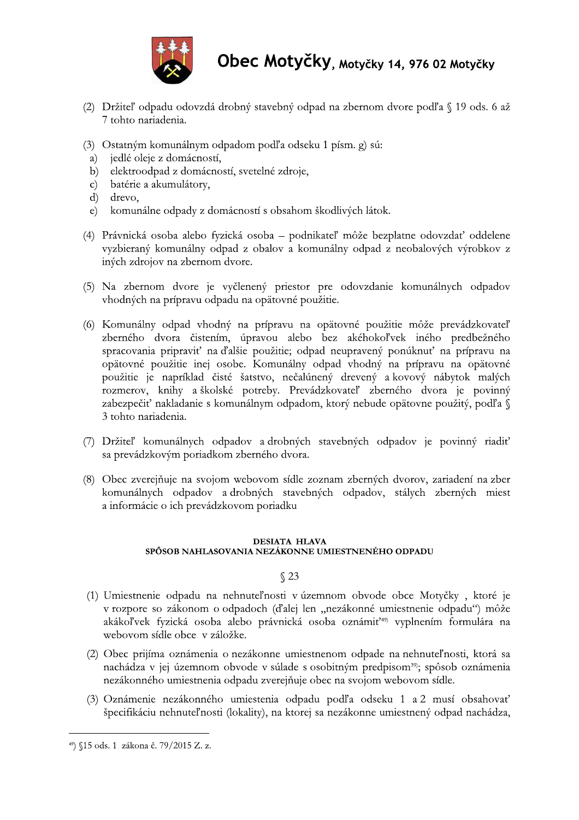

- (2) Držiteľ odpadu odovzdá drobný stavebný odpad na zbernom dvore podľa § 19 ods. 6 až 7 tohto nariadenia.
- (3) Ostatným komunálnym odpadom podľa odseku 1 písm. g) sú:
- jedlé oleje z domácností,  $a)$
- elektroodpad z domácností, svetelné zdroje,  $b)$
- batérie a akumulátory,  $\mathbf{c})$
- $\rm d$ drevo,
- komunálne odpady z domácností s obsahom škodlivých látok.  $\epsilon$ )
- (4) Právnická osoba alebo fyzická osoba podnikateľ môže bezplatne odovzdať oddelene vyzbieraný komunálny odpad z obalov a komunálny odpad z neobalových výrobkov z iných zdrojov na zbernom dvore.
- (5) Na zbernom dvore je vyčlenený priestor pre odovzdanie komunálnych odpadov vhodných na prípravu odpadu na opätovné použitie.
- (6) Komunálny odpad vhodný na prípravu na opätovné použitie môže prevádzkovateľ zberného dvora čistením, úpravou alebo bez akéhokoľvek iného predbežného spracovania pripraviť na ďalšie použitie; odpad neupravený ponúknuť na prípravu na opätovné použitie inej osobe. Komunálny odpad vhodný na prípravu na opätovné použitie je napríklad čisté šatstvo, nečalúnený drevený a kovový nábytok malých rozmerov, knihy a školské potreby. Prevádzkovateľ zberného dvora je povinný zabezpečiť nakladanie s komunálnym odpadom, ktorý nebude opätovne použitý, podľa § 3 tohto nariadenia.
- (7) Držiteľ komunálnych odpadov a drobných stavebných odpadov je povinný riadiť sa prevádzkovým poriadkom zberného dvora.
- (8) Obec zverejňuje na svojom webovom sídle zoznam zberných dvorov, zariadení na zber komunálnych odpadov a drobných stavebných odpadov, stálych zberných miest a informácie o ich prevádzkovom poriadku

#### **DESIATA HLAVA** SPÔSOB NAHLASOVANIA NEZÁKONNE UMIESTNENÉHO ODPADU

#### $$23$

- (1) Umiestnenie odpadu na nehnuteľnosti v územnom obvode obce Motyčky, ktoré je v rozpore so zákonom o odpadoch (ďalej len "nezákonné umiestnenie odpadu") môže akákoľvek fyzická osoba alebo právnická osoba oznámiť<sup>49)</sup> vyplnením formulára na webovom sídle obce v záložke.
- (2) Obec prijíma oznámenia o nezákonne umiestnenom odpade na nehnuteľnosti, ktorá sa nachádza v jej územnom obvode v súlade s osobitným predpisom<sup>39</sup>; spôsob oznámenia nezákonného umiestnenia odpadu zverejňuje obec na svojom webovom sídle.
- (3) Oznámenie nezákonného umiestenia odpadu podľa odseku 1 a 2 musí obsahovať špecifikáciu nehnuteľnosti (lokality), na ktorej sa nezákonne umiestnený odpad nachádza,

<sup>&</sup>lt;sup>49</sup>) §15 ods. 1 zákona č. 79/2015 Z. z.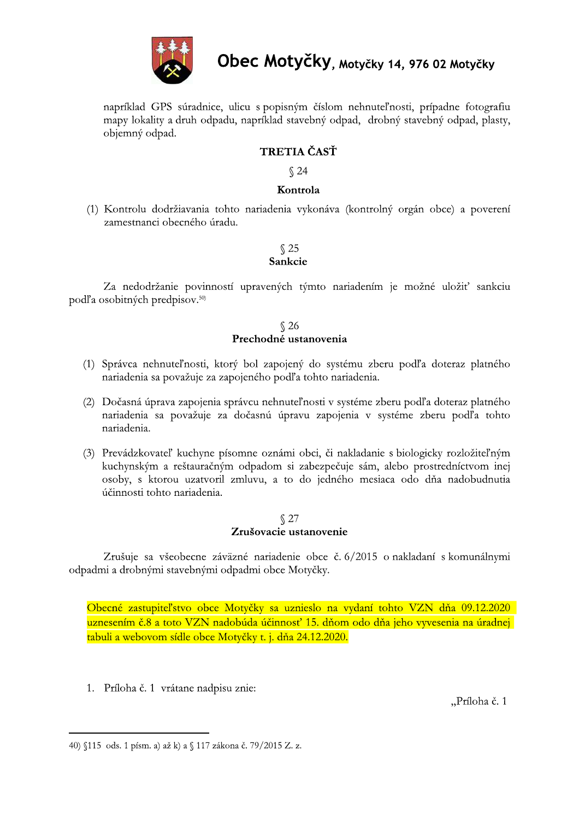

napríklad GPS súradnice, ulicu s popisným číslom nehnuteľnosti, prípadne fotografiu mapy lokality a druh odpadu, napríklad stavebný odpad, drobný stavebný odpad, plasty, objemný odpad.

## **TRETIA ČASŤ**

 $$24$ 

#### Kontrola

(1) Kontrolu dodržiavania tohto nariadenia vykonáva (kontrolný orgán obce) a poverení zamestnanci obecného úradu.

#### $\sqrt{25}$ Sankcie

Za nedodržanie povinností upravených týmto nariadením je možné uložiť sankciu podľa osobitných predpisov.<sup>50)</sup>

# $\sqrt[6]{26}$  Prechodné ustanovenia

- (1) Správca nehnuteľnosti, ktorý bol zapojený do systému zberu podľa doteraz platného nariadenia sa považuje za zapojeného podľa tohto nariadenia.
- (2) Dočasná úprava zapojenia správcu nehnuteľnosti v systéme zberu podľa doteraz platného nariadenia sa považuje za dočasnú úpravu zapojenia v systéme zberu podľa tohto nariadenia.
- (3) Prevádzkovateľ kuchyne písomne oznámi obci, či nakladanie s biologicky rozložiteľným kuchynským a reštauračným odpadom si zabezpečuje sám, alebo prostredníctvom inej osoby, s ktorou uzatvoril zmluvu, a to do jedného mesiaca odo dňa nadobudnutia účinnosti tohto nariadenia.

# $\sqrt{\phantom{0}27}$ Zrušovacie ustanovenie

Zrušuje sa všeobecne záväzné nariadenie obce č. 6/2015 o nakladaní s komunálnymi odpadmi a drobnými stavebnými odpadmi obce Motyčky.

Obecné zastupiteľstvo obce Motyčky sa uznieslo na vydaní tohto VZN dňa 09.12.2020 uznesením č.8 a toto VZN nadobúda účinnosť 15. dňom odo dňa jeho vyvesenia na úradnej tabuli a webovom sídle obce Motyčky t. j. dňa 24.12.2020.

1. Príloha č. 1 vrátane nadpisu znie:

"Príloha č. 1

<sup>40) §115</sup> ods. 1 písm. a) až k) a § 117 zákona č. 79/2015 Z. z.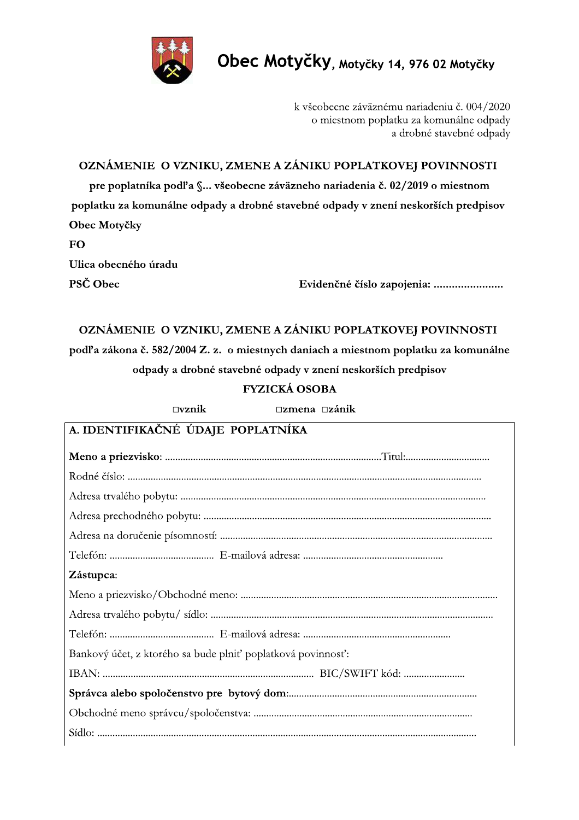

 $\Box$ vznik

Obec Motyčky, Motyčky 14, 976 02 Motyčky

k všeobecne záväznému nariadeniu č. 004/2020 o miestnom poplatku za komunálne odpady a drobné stavebné odpady

OZNÁMENIE O VZNIKU, ZMENE A ZÁNIKU POPLATKOVEJ POVINNOSTI

pre poplatníka podľa §... všeobecne záväzneho nariadenia č. 02/2019 o miestnom poplatku za komunálne odpady a drobné stavebné odpady v znení neskorších predpisov Obec Motyčky

**FO** Ulica obecného úradu PSČ Obec

Evidenčné číslo zapojenia: ........................

## OZNÁMENIE O VZNIKU, ZMENE A ZÁNIKU POPLATKOVEJ POVINNOSTI podľa zákona č. 582/2004 Z. z. o miestnych daniach a miestnom poplatku za komunálne odpady a drobné stavebné odpady v znení neskorších predpisov

**FYZICKÁ OSOBA** 

 $\square$ zmena  $\square$ zánik

| A. IDENTIFIKAČNÉ ÚDAJE POPLATNÍKA                           |
|-------------------------------------------------------------|
|                                                             |
|                                                             |
|                                                             |
|                                                             |
|                                                             |
|                                                             |
| Zástupca:                                                   |
|                                                             |
|                                                             |
|                                                             |
| Bankový účet, z ktorého sa bude plniť poplatková povinnosť: |
|                                                             |
|                                                             |
|                                                             |
|                                                             |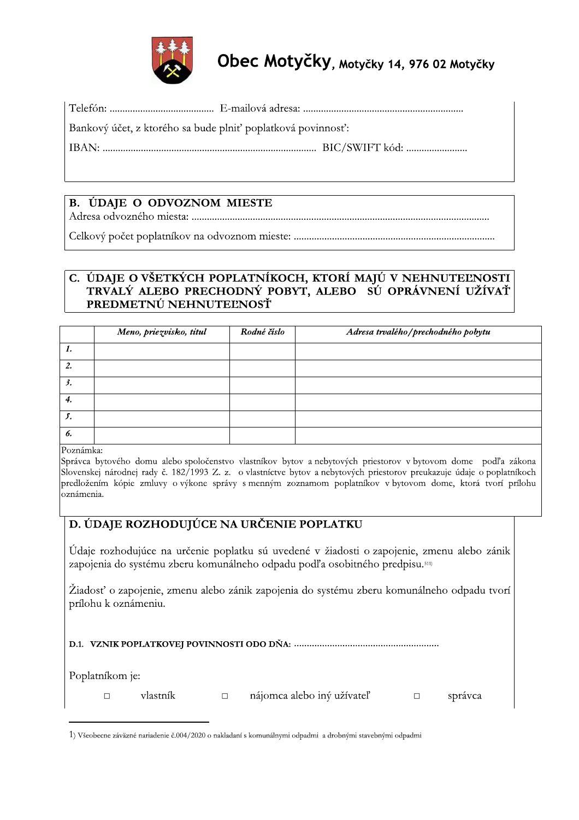

| Bankový účet, z ktorého sa bude plniť poplatková povinnosť: |  |
|-------------------------------------------------------------|--|
|                                                             |  |

## B. ÚDAJE O ODVOZNOM MIESTE

## C. ÚDAJE O VŠETKÝCH POPLATNÍKOCH, KTORÍ MAJÚ V NEHNUTEĽNOSTI TRVALÝ ALEBO PRECHODNÝ POBYT, ALEBO SÚ OPRÁVNENÍ UŽÍVAŤ PREDMETNÚ NEHNUTEĽNOSŤ

|                  | Meno, priezvisko, titul | Rodné číslo | Adresa trvalého / prechodného pobytu |
|------------------|-------------------------|-------------|--------------------------------------|
| 1.               |                         |             |                                      |
| $\overline{2}$ . |                         |             |                                      |
| 3.               |                         |             |                                      |
| 4.               |                         |             |                                      |
| ♪.               |                         |             |                                      |
| 6.               |                         |             |                                      |

Poznámka:

Správca bytového domu alebo spoločenstvo vlastníkov bytov a nebytových priestorov v bytovom dome podľa zákona Slovenskej národnej rady č. 182/1993 Z. z. o vlastníctve bytov a nebytových priestorov preukazuje údaje o poplatníkoch predložením kópie zmluvy o výkone správy s menným zoznamom poplatníkov v bytovom dome, ktorá tvorí prílohu oznámenia.

## D. ÚDAJE ROZHODUJÚCE NA URČENIE POPLATKU

Údaje rozhodujúce na určenie poplatku sú uvedené v žiadosti o zapojenie, zmenu alebo zánik zapojenia do systému zberu komunálneho odpadu podľa osobitného predpisu.<sup>511)</sup>

Žiadosť o zapojenie, zmenu alebo zánik zapojenia do systému zberu komunálneho odpadu tvorí prílohu k oznámeniu.

Poplatníkom je:

vlastník  $\Box$ 

nájomca alebo iný užívateľ

 $\Box$ správca

 $\Box$ 

<sup>1)</sup> Všeobecne záväzné nariadenie č.004/2020 o nakladaní s komunálnymi odpadmi a drobnými stavebnými odpadmi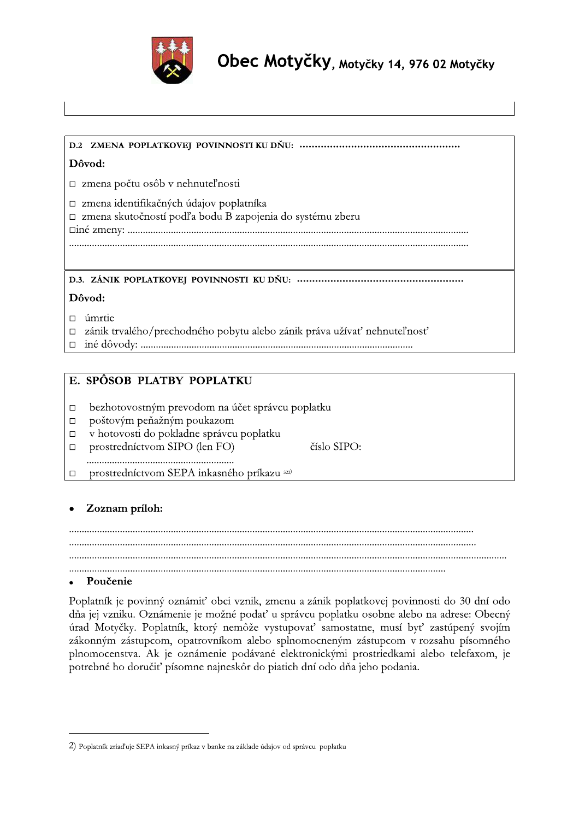

**Obec Motyčky, <sub>Motyč</sub>ky 14, 976 02 Motyčky**<br>
D2 2MENA POPLATKOVEJ POVINNOSTI KU DNU:<br>
DAvod:<br>
Σ zmena počtu osób v nehnuteľnosti<br>
Σ zmena skuchnosti podľa hodu B zapejenia do systému zheru<br>
Σ zmena skuchnosti podľa hodu

- 
- 
- 

- 
- 
- □ v hotovosti do pokladne správcu poplatku<br>□ prostredníctvom SIPO (len FO)
- prostredníctvom SIPO (len FO) číslo SIPO:

MMMMMMMMMMMMMMMMMMMMMMMMMMMMMMMMMMMMMMMMMMMMMMMMMMMMMMMMMM □ prostredníctvom SEPA inkasného príkazu 522)

<sup>e</sup> \*fghijklm\*n' MMMMMMMMMMMMMMMMMMMMMMMMMMMMMMMMMMMMMMMMMMMMMMMMMMMMMMMMMMMMMMMMMMMMMMMMMMMMMMMMMMMMMMMMMMMMMMMMMMMMMMMMMMMMMMMMMMMMMMMMMMMMMMMMMMMMMMMMMMMMMMMMMMMMMMMMMMMMMMMMMMMMMM MMMMMMMMMMMMMMMMMMM MMMMMMMMMMMMMMMMMMMMMMMMMMMMMMMMMMMMMMMMMMMMMM <sup>e</sup> \*opqgrq \43F261GA-E0-34;>11B-4.1P/>S-4:C>-;.1>As-./017-2Y.P1>A-343F26A4;0E-34;>11486>-?4-tu-?1G-4?4- ?X2-E0E-;.1>A7M-].1P/01>0-E0-/4R1J-34?2S-7Y83KP;C7-343F26A7-484:10-2F0:4-12-2?K080L-]:0C1B- DK2?-v46I5AIM-\43F261GAs-A64KB-10/9R0-;I86734;2S-82/4862610s-/78G-:IS-.286D301B-8;4EG/-

zákonným zástupcom, opatrovníkom alebo splnomocneným zástupcom v rozsahu písomného plnomocenstva. Ak je oznámenie podávané elektronickými prostriedkami alebo telefaxom, je potrebné ho doručiť písomne najneskôr do piatich dní odo dňa jeho podania.

<sup>2)</sup> Poplatník zriaďuje SEPA inkasný príkaz v banke na základe údajov od správcu poplatku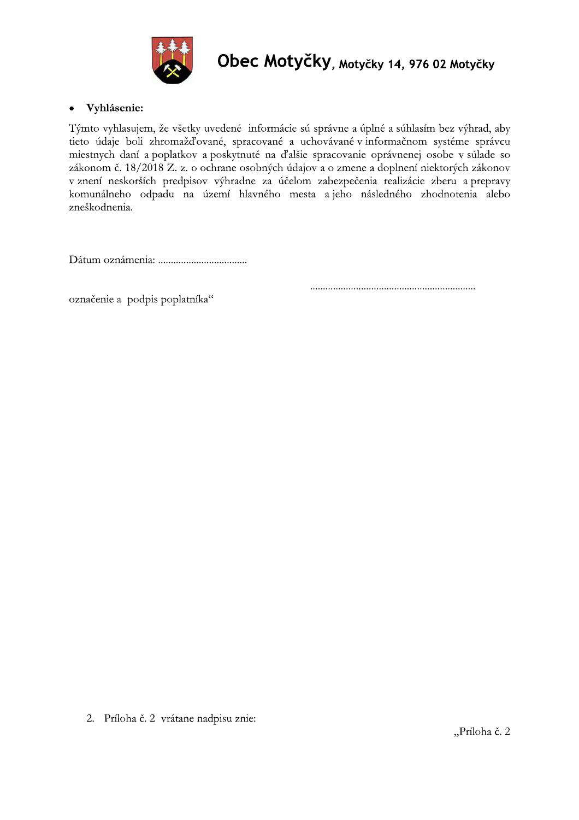

#### Vyhlásenie:  $\bullet$

Týmto vyhlasujem, že všetky uvedené informácie sú správne a úplné a súhlasím bez výhrad, aby tieto údaje boli zhromažďované, spracované a uchovávané v informačnom systéme správcu miestnych daní a poplatkov a poskytnuté na ďalšie spracovanie oprávnenej osobe v súlade so zákonom č. 18/2018 Z. z. o ochrane osobných údajov a o zmene a doplnení niektorých zákonov v znení neskorších predpisov výhradne za účelom zabezpečenia realizácie zberu a prepravy komunálneho odpadu na území hlavného mesta a jeho následného zhodnotenia alebo zneškodnenia.

označenie a podpis poplatníka"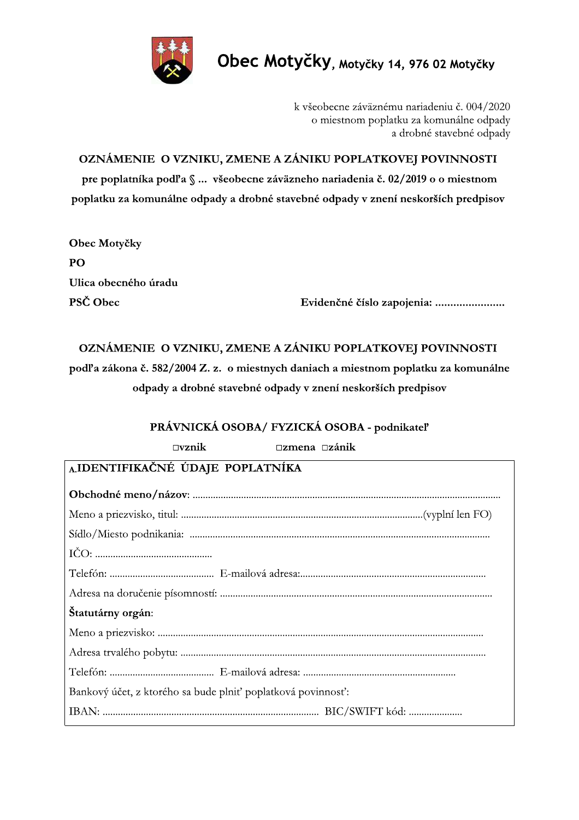

k všeobecne záväznému nariadeniu č. 004/2020 o miestnom poplatku za komunálne odpady a drobné stavebné odpady

OZNÁMENIE O VZNIKU, ZMENE A ZÁNIKU POPLATKOVEJ POVINNOSTI pre poplatníka podľa § ... všeobecne záväzneho nariadenia č. 02/2019 o o miestnom poplatku za komunálne odpady a drobné stavebné odpady v znení neskorších predpisov

Obec Motyčky  $P()$ Ulica obecného úradu PSČ Obec

Evidenčné číslo zapojenia: ........................

## OZNÁMENIE O VZNIKU, ZMENE A ZÁNIKU POPLATKOVEJ POVINNOSTI

podľa zákona č. 582/2004 Z. z. o miestnych daniach a miestnom poplatku za komunálne odpady a drobné stavebné odpady v znení neskorších predpisov

## PRÁVNICKÁ OSOBA/ FYZICKÁ OSOBA - podnikateľ

| $\square$ zmena $\square$ zánik<br>$\square$ vznik          |
|-------------------------------------------------------------|
| AIDENTIFIKAČNÉ ÚDAJE POPLATNÍKA                             |
|                                                             |
|                                                             |
|                                                             |
|                                                             |
|                                                             |
|                                                             |
| Štatutárny orgán:                                           |
|                                                             |
|                                                             |
|                                                             |
| Bankový účet, z ktorého sa bude plniť poplatková povinnosť: |
|                                                             |
|                                                             |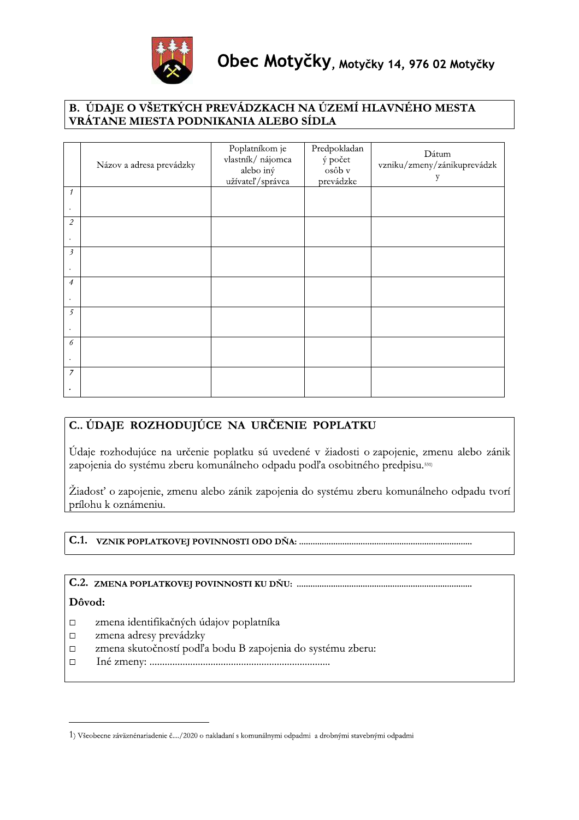

|                |                                                                                                                                                                                                                                                                                                                                                          | VRÁTANE MIESTA PODNIKANIA ALEBO SÍDLA                                |                                                | B. ÚDAJE O VŠETKÝCH PREVÁDZKACH NA ÚZEMÍ HLAVNÉHO MESTA |
|----------------|----------------------------------------------------------------------------------------------------------------------------------------------------------------------------------------------------------------------------------------------------------------------------------------------------------------------------------------------------------|----------------------------------------------------------------------|------------------------------------------------|---------------------------------------------------------|
|                | Názov a adresa prevádzky                                                                                                                                                                                                                                                                                                                                 | Poplatníkom je<br>vlastník/ nájomca<br>alebo iný<br>užívateľ/správca | Predpokladan<br>ý počet<br>osôb v<br>prevádzke | Dátum<br>vzniku/zmeny/zánikuprevádzk<br>у               |
| $\mathcal{I}$  |                                                                                                                                                                                                                                                                                                                                                          |                                                                      |                                                |                                                         |
| $\overline{2}$ |                                                                                                                                                                                                                                                                                                                                                          |                                                                      |                                                |                                                         |
| $\mathfrak{Z}$ |                                                                                                                                                                                                                                                                                                                                                          |                                                                      |                                                |                                                         |
| $\overline{4}$ |                                                                                                                                                                                                                                                                                                                                                          |                                                                      |                                                |                                                         |
|                |                                                                                                                                                                                                                                                                                                                                                          |                                                                      |                                                |                                                         |
| 5              |                                                                                                                                                                                                                                                                                                                                                          |                                                                      |                                                |                                                         |
| 6              |                                                                                                                                                                                                                                                                                                                                                          |                                                                      |                                                |                                                         |
| 7              |                                                                                                                                                                                                                                                                                                                                                          |                                                                      |                                                |                                                         |
|                |                                                                                                                                                                                                                                                                                                                                                          |                                                                      |                                                |                                                         |
|                | C. ÚDAJE ROZHODUJÚCE NA URČENIE POPLATKU<br>Údaje rozhodujúce na určenie poplatku sú uvedené v žiadosti o zapojenie, zmenu alebo zánik<br>zapojenia do systému zberu komunálneho odpadu podľa osobitného predpisu. <sup>531)</sup><br>Žiadosť o zapojenie, zmenu alebo zánik zapojenia do systému zberu komunálneho odpadu tvorí<br>prílohu k oznámeniu. |                                                                      |                                                |                                                         |
|                |                                                                                                                                                                                                                                                                                                                                                          |                                                                      |                                                |                                                         |
|                |                                                                                                                                                                                                                                                                                                                                                          |                                                                      |                                                |                                                         |
|                |                                                                                                                                                                                                                                                                                                                                                          |                                                                      |                                                |                                                         |
|                |                                                                                                                                                                                                                                                                                                                                                          |                                                                      |                                                |                                                         |

- 
- 
- 
- 

<sup>1)</sup> Všeobecne záväznénariadenie č..../2020 o nakladaní s komunálnymi odpadmi a drobnými stavebnými odpadmi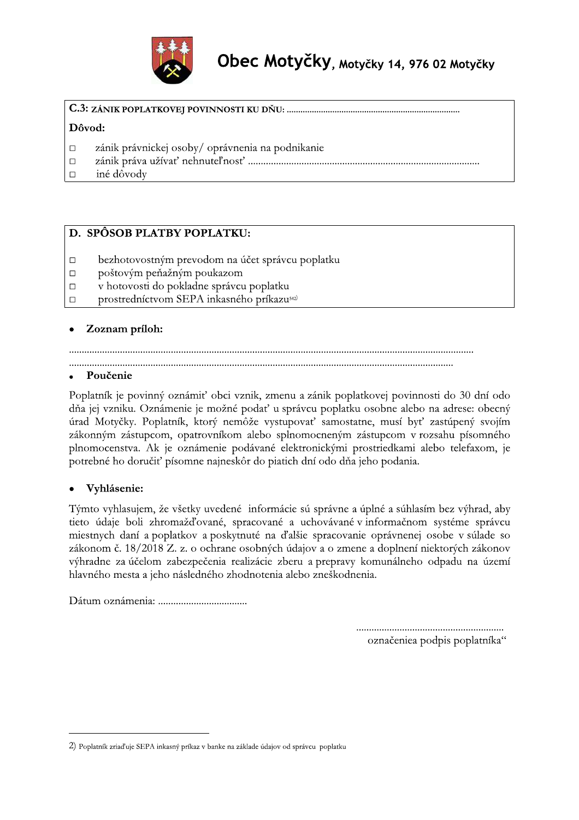

## 

## Dôvod:

- zánik právnickej osoby/ oprávnenia na podnikanie  $\Box$
- $\Box$
- $\Box$ iné dôvody

## D. SPÔSOB PLATBY POPLATKU:

- $\Box$ bezhotovostným prevodom na účet správcu poplatku
- poštovým peňažným poukazom  $\Box$
- v hotovosti do pokladne správcu poplatku  $\Box$
- $\Box$ prostredníctvom SEPA inkasného príkazu<sup>542)</sup>

## Zoznam príloh:

## Poučenie

Poplatník je povinný oznámiť obci vznik, zmenu a zánik poplatkovej povinnosti do 30 dní odo dňa jej vzniku. Oznámenie je možné podať u správcu poplatku osobne alebo na adrese: obecný úrad Motyčky. Poplatník, ktorý nemôže vystupovať samostatne, musí byť zastúpený svojím zákonným zástupcom, opatrovníkom alebo splnomocneným zástupcom v rozsahu písomného plnomocenstva. Ak je oznámenie podávané elektronickými prostriedkami alebo telefaxom, je potrebné ho doručiť písomne najneskôr do piatich dní odo dňa jeho podania.

## Vyhlásenie:

Týmto vyhlasujem, že všetky uvedené informácie sú správne a úplné a súhlasím bez výhrad, aby tieto údaje boli zhromažďované, spracované a uchovávané v informačnom systéme správcu miestnych daní a poplatkov a poskytnuté na ďalšie spracovanie oprávnenej osobe v súlade so zákonom č. 18/2018 Z. z. o ochrane osobných údajov a o zmene a doplnení niektorých zákonov výhradne za účelom zabezpečenia realizácie zberu a prepravy komunálneho odpadu na území hlavného mesta a jeho následného zhodnotenia alebo zneškodnenia.

označeniea podpis poplatníka"

<sup>2)</sup> Poplatník zriaďuje SEPA inkasný príkaz v banke na základe údajov od správcu poplatku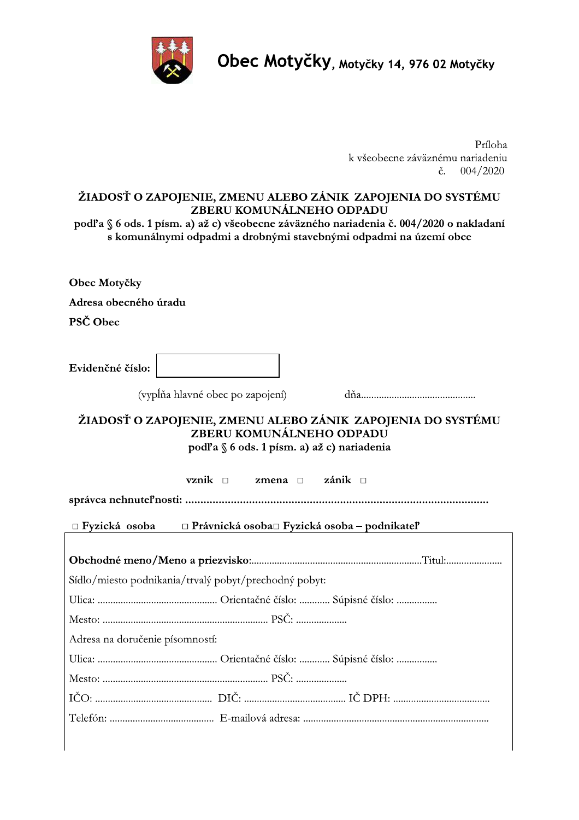

**UDEC MOTYCKY**, Motyčky 14, 976 02 Motyčky

# **Obec Motyčky, Motyčky 14, 976 02 Motyčky<br>
Príloha<br>
k všeobecne záväznému nariadeniu<br>
č. 004/2020<br>
ŽIADOSŤ O ZAPOJENIE, ZMENU ALEBO ZÁNIK ZAPOJENIA DO SYSTÉMU<br>
ZBERU KOMUNÁLNEHO ODPADU<br>
s komunálnymi odpadmi a drobnými sta**

Obec Motyčky

Adresa obecného úradu

PSČ Obec

=ZeM\^f^b8fURlLs8tuvwx"& !v#vy"z \*x,,,,,,,,,,,,,,,,,,,,,,,,,,,,,,,,,,,,,,,,,,,,,

## ŽIADOSŤ O ZAPOJENIE, ZMENU ALEBO ZÁNIK ZAPOJENIA DO SYSTÉMU ZBERU KOMUNÁLNEHO ODPADU podľa §6 ods. 1 písm. a) až c) nariadenia

|  | Sídlo/miesto podnikania/trvalý pobyt/prechodný pobyt: |  |
|--|-------------------------------------------------------|--|
|  |                                                       |  |
|  |                                                       |  |
|  | Adresa na doručenie písomností:                       |  |
|  |                                                       |  |
|  |                                                       |  |
|  |                                                       |  |
|  |                                                       |  |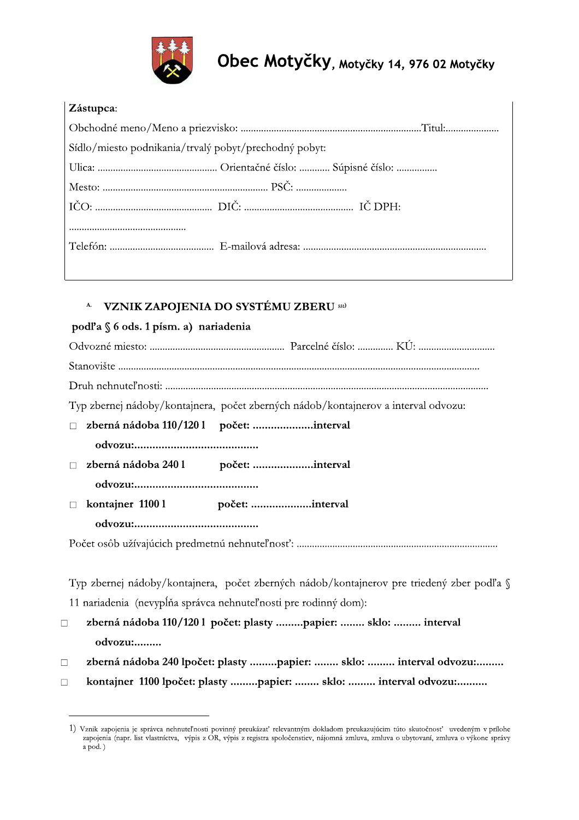

| <b>Zástupca:</b> |
|------------------|
|                  |

| Sídlo/miesto podnikania/trvalý pobyt/prechodný pobyt: |
|-------------------------------------------------------|
|                                                       |
|                                                       |
|                                                       |
|                                                       |
|                                                       |
|                                                       |

#### **VZNIK ZAPOJENIA DO SYSTÉMU ZBERU 551) A.**

## podľa § 6 ods. 1 písm. a) nariadenia

| Typ zbernej nádoby/kontajnera, počet zberných nádob/kontajnerov a interval odvozu:        |
|-------------------------------------------------------------------------------------------|
| zberná nádoba 110/1201 počet: interval<br>$\Box$                                          |
|                                                                                           |
|                                                                                           |
|                                                                                           |
| П                                                                                         |
|                                                                                           |
|                                                                                           |
|                                                                                           |
| Typ zbernej nádoby/kontajnera, počet zberných nádob/kontajnerov pre triedený zber podľa § |
| 11 nariadenia (nevypĺňa správca nehnuteľnosti pre rodinný dom):                           |
| zberná nádoba 110/1201 počet: plasty papier:  sklo:  interval<br>$\Box$                   |
| odvozu:                                                                                   |

zberná nádoba 240 lpočet: plasty .........papier: ........ sklo: ......... interval odvozu:.........  $\Box$ 

kontajner 1100 lpočet: plasty .........papier: ........ sklo: ......... interval odvozu:..........  $\Box$ 

<sup>1)</sup> Vznik zapojenia je správca nehnuteľnosti povinný preukázať relevantným dokladom preukazujúcim túto skutočnosť uvedeným v prílohe zapojenia (napr. list vlastníctva, výpis z OR, výpis z registra spoločenstiev, nájomná zmluva, zmluva o ubytovaní, zmluva o výkone správy  $a \overrightarrow{pod}$ .)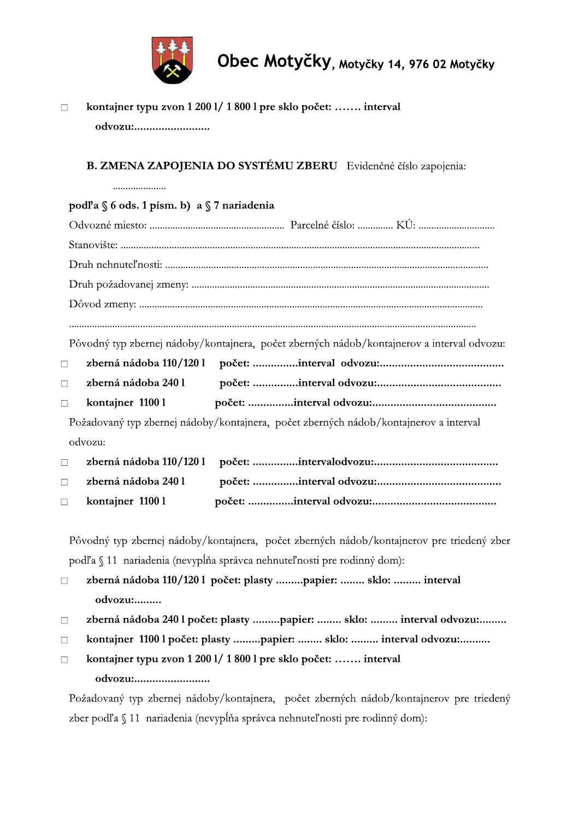

kontajner typu zvon 1 200 l/ 1 800 l pre sklo počet: ....... interval  $\Box$ odvozu:...........................

## B. ZMENA ZAPOJENIA DO SYSTÉMU ZBERU Evidenčné číslo zapojenia:

#### podľa § 6 ods. 1 písm. b) a § 7 nariadenia Pôvodný typ zbernej nádoby/kontajnera, počet zberných nádob/kontajnerov a interval odvozu: zberná nádoba 110/1201  $\Box$ zberná nádoba 2401  $\Box$ kontajner 1100 l  $\Box$ Požadovaný typ zbernej nádoby/kontajnera, počet zberných nádob/kontajnerov a interval odvozu: zberná nádoba 110/1201  $\Box$ zberná nádoba 2401  $\Box$ kontajner 1100 l  $\Box$

Pôvodný typ zbernej nádoby/kontajnera, počet zberných nádob/kontajnerov pre triedený zber podľa § 11 nariadenia (nevypĺňa správca nehnuteľnosti pre rodinný dom):

zberná nádoba 110/1201 počet: plasty .........papier: ........ sklo: ......... interval  $\Box$ odvozu:.........

- zberná nádoba 240 l počet: plasty .........papier: ........ sklo: ......... interval odvozu:.........  $\Box$
- kontajner 1100 l počet: plasty .........papier: ........ sklo: ......... interval odvozu:..........  $\Box$
- kontajner typu zvon 1 200 l/ 1 800 l pre sklo počet: ....... interval  $\Box$ odvozu:........................

Požadovaný typ zbernej nádoby/kontajnera, počet zberných nádob/kontajnerov pre triedený zber podľa § 11 nariadenia (nevypĺňa správca nehnuteľnosti pre rodinný dom):